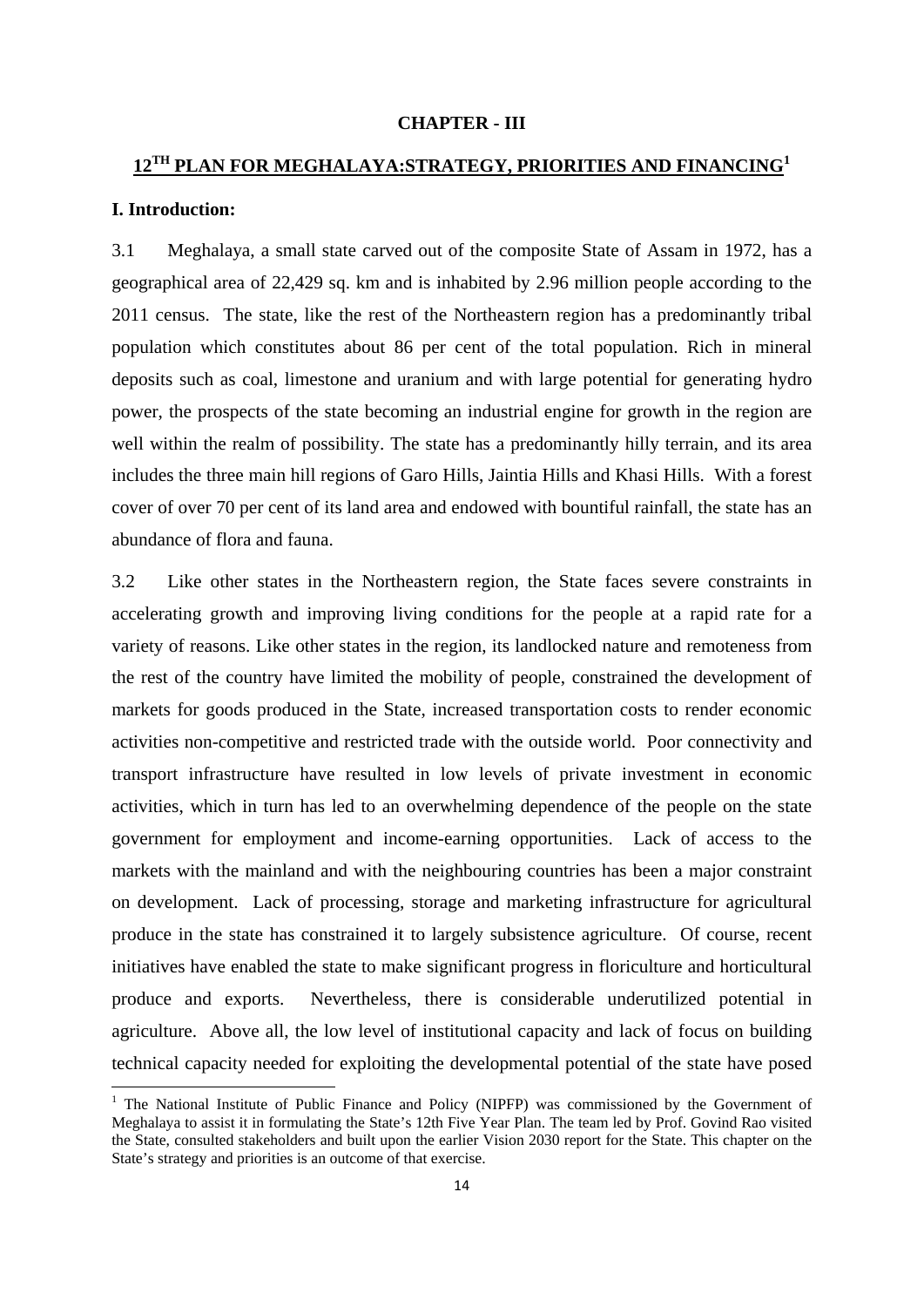#### **CHAPTER - III**

# **12TH PLAN FOR MEGHALAYA:STRATEGY, PRIORITIES AND FINANCING1**

# **I. Introduction:**

3.1 Meghalaya, a small state carved out of the composite State of Assam in 1972, has a geographical area of 22,429 sq. km and is inhabited by 2.96 million people according to the 2011 census. The state, like the rest of the Northeastern region has a predominantly tribal population which constitutes about 86 per cent of the total population. Rich in mineral deposits such as coal, limestone and uranium and with large potential for generating hydro power, the prospects of the state becoming an industrial engine for growth in the region are well within the realm of possibility. The state has a predominantly hilly terrain, and its area includes the three main hill regions of Garo Hills, Jaintia Hills and Khasi Hills. With a forest cover of over 70 per cent of its land area and endowed with bountiful rainfall, the state has an abundance of flora and fauna.

3.2 Like other states in the Northeastern region, the State faces severe constraints in accelerating growth and improving living conditions for the people at a rapid rate for a variety of reasons. Like other states in the region, its landlocked nature and remoteness from the rest of the country have limited the mobility of people, constrained the development of markets for goods produced in the State, increased transportation costs to render economic activities non-competitive and restricted trade with the outside world. Poor connectivity and transport infrastructure have resulted in low levels of private investment in economic activities, which in turn has led to an overwhelming dependence of the people on the state government for employment and income-earning opportunities. Lack of access to the markets with the mainland and with the neighbouring countries has been a major constraint on development. Lack of processing, storage and marketing infrastructure for agricultural produce in the state has constrained it to largely subsistence agriculture. Of course, recent initiatives have enabled the state to make significant progress in floriculture and horticultural produce and exports. Nevertheless, there is considerable underutilized potential in agriculture. Above all, the low level of institutional capacity and lack of focus on building technical capacity needed for exploiting the developmental potential of the state have posed

<sup>&</sup>lt;sup>1</sup> The National Institute of Public Finance and Policy (NIPFP) was commissioned by the Government of Meghalaya to assist it in formulating the State's 12th Five Year Plan. The team led by Prof. Govind Rao visited the State, consulted stakeholders and built upon the earlier Vision 2030 report for the State. This chapter on the State's strategy and priorities is an outcome of that exercise.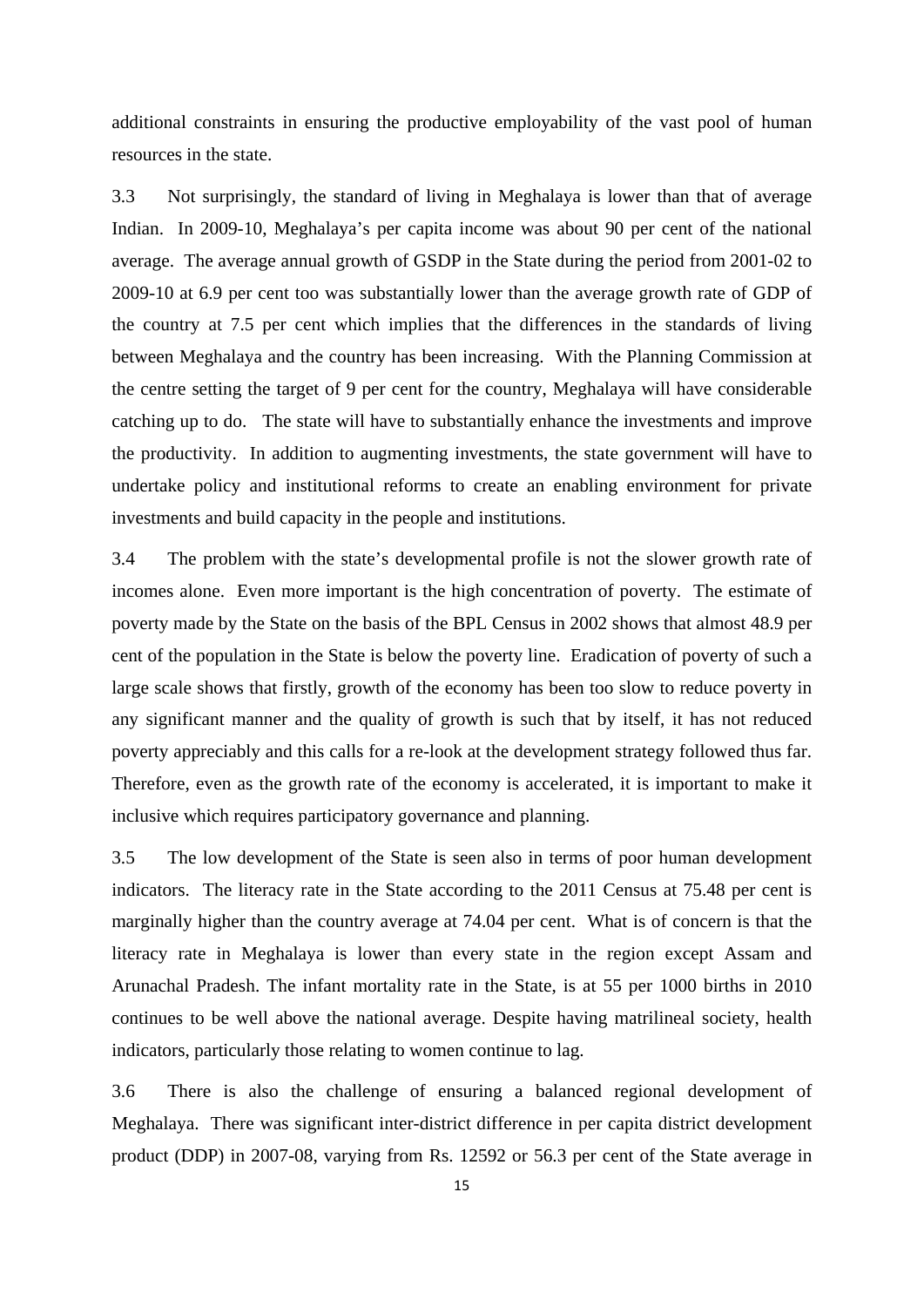additional constraints in ensuring the productive employability of the vast pool of human resources in the state.

3.3 Not surprisingly, the standard of living in Meghalaya is lower than that of average Indian. In 2009-10, Meghalaya's per capita income was about 90 per cent of the national average. The average annual growth of GSDP in the State during the period from 2001-02 to 2009-10 at 6.9 per cent too was substantially lower than the average growth rate of GDP of the country at 7.5 per cent which implies that the differences in the standards of living between Meghalaya and the country has been increasing. With the Planning Commission at the centre setting the target of 9 per cent for the country, Meghalaya will have considerable catching up to do. The state will have to substantially enhance the investments and improve the productivity. In addition to augmenting investments, the state government will have to undertake policy and institutional reforms to create an enabling environment for private investments and build capacity in the people and institutions.

3.4 The problem with the state's developmental profile is not the slower growth rate of incomes alone. Even more important is the high concentration of poverty. The estimate of poverty made by the State on the basis of the BPL Census in 2002 shows that almost 48.9 per cent of the population in the State is below the poverty line. Eradication of poverty of such a large scale shows that firstly, growth of the economy has been too slow to reduce poverty in any significant manner and the quality of growth is such that by itself, it has not reduced poverty appreciably and this calls for a re-look at the development strategy followed thus far. Therefore, even as the growth rate of the economy is accelerated, it is important to make it inclusive which requires participatory governance and planning.

3.5 The low development of the State is seen also in terms of poor human development indicators. The literacy rate in the State according to the 2011 Census at 75.48 per cent is marginally higher than the country average at 74.04 per cent. What is of concern is that the literacy rate in Meghalaya is lower than every state in the region except Assam and Arunachal Pradesh. The infant mortality rate in the State, is at 55 per 1000 births in 2010 continues to be well above the national average. Despite having matrilineal society, health indicators, particularly those relating to women continue to lag.

3.6 There is also the challenge of ensuring a balanced regional development of Meghalaya. There was significant inter-district difference in per capita district development product (DDP) in 2007-08, varying from Rs. 12592 or 56.3 per cent of the State average in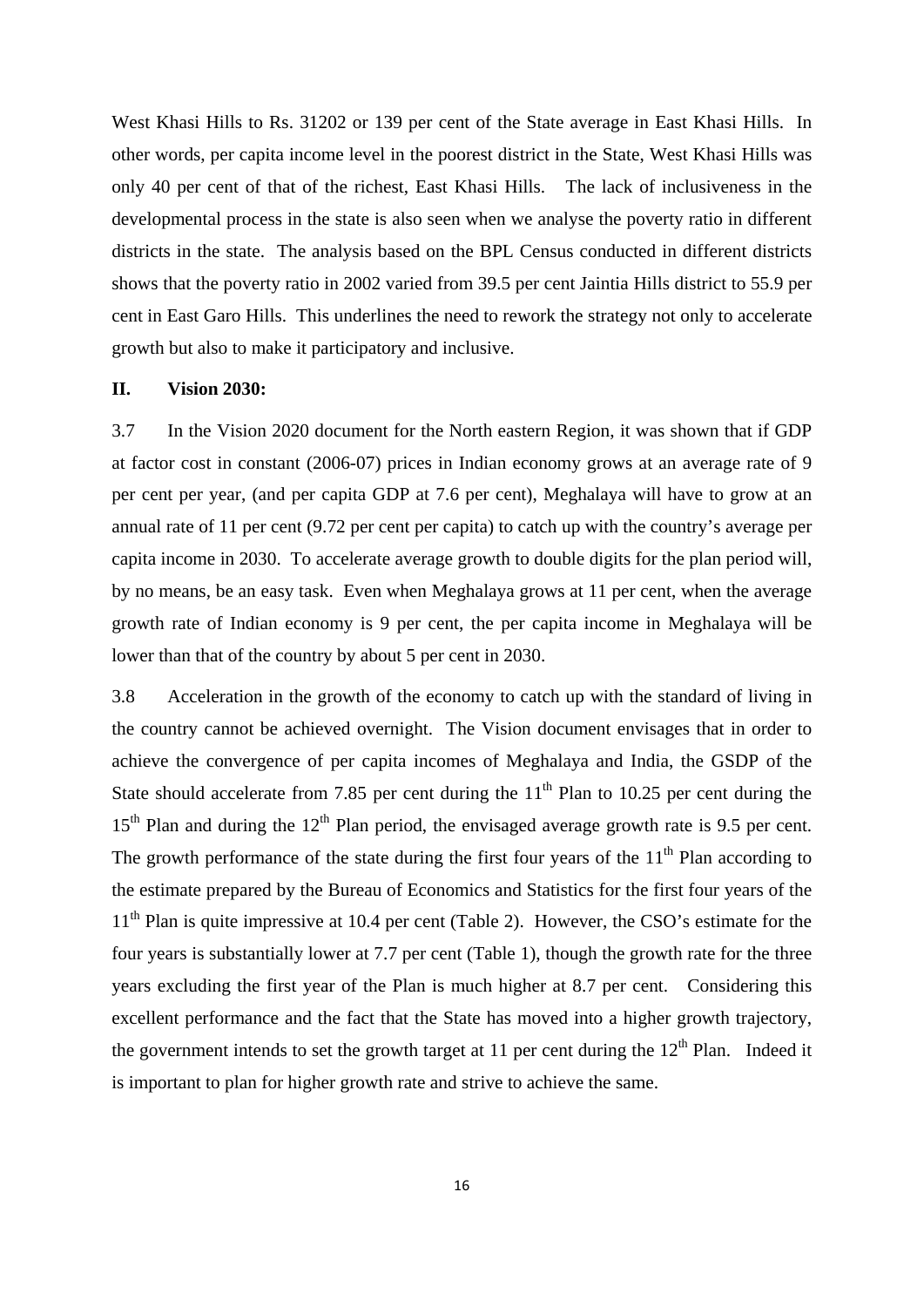West Khasi Hills to Rs. 31202 or 139 per cent of the State average in East Khasi Hills. In other words, per capita income level in the poorest district in the State, West Khasi Hills was only 40 per cent of that of the richest, East Khasi Hills. The lack of inclusiveness in the developmental process in the state is also seen when we analyse the poverty ratio in different districts in the state. The analysis based on the BPL Census conducted in different districts shows that the poverty ratio in 2002 varied from 39.5 per cent Jaintia Hills district to 55.9 per cent in East Garo Hills. This underlines the need to rework the strategy not only to accelerate growth but also to make it participatory and inclusive.

# **II. Vision 2030:**

3.7 In the Vision 2020 document for the North eastern Region, it was shown that if GDP at factor cost in constant (2006-07) prices in Indian economy grows at an average rate of 9 per cent per year, (and per capita GDP at 7.6 per cent), Meghalaya will have to grow at an annual rate of 11 per cent (9.72 per cent per capita) to catch up with the country's average per capita income in 2030. To accelerate average growth to double digits for the plan period will, by no means, be an easy task. Even when Meghalaya grows at 11 per cent, when the average growth rate of Indian economy is 9 per cent, the per capita income in Meghalaya will be lower than that of the country by about 5 per cent in 2030.

3.8 Acceleration in the growth of the economy to catch up with the standard of living in the country cannot be achieved overnight. The Vision document envisages that in order to achieve the convergence of per capita incomes of Meghalaya and India, the GSDP of the State should accelerate from 7.85 per cent during the  $11<sup>th</sup>$  Plan to 10.25 per cent during the  $15<sup>th</sup>$  Plan and during the  $12<sup>th</sup>$  Plan period, the envisaged average growth rate is 9.5 per cent. The growth performance of the state during the first four years of the  $11<sup>th</sup>$  Plan according to the estimate prepared by the Bureau of Economics and Statistics for the first four years of the 11<sup>th</sup> Plan is quite impressive at 10.4 per cent (Table 2). However, the CSO's estimate for the four years is substantially lower at 7.7 per cent (Table 1), though the growth rate for the three years excluding the first year of the Plan is much higher at 8.7 per cent. Considering this excellent performance and the fact that the State has moved into a higher growth trajectory, the government intends to set the growth target at 11 per cent during the  $12<sup>th</sup>$  Plan. Indeed it is important to plan for higher growth rate and strive to achieve the same.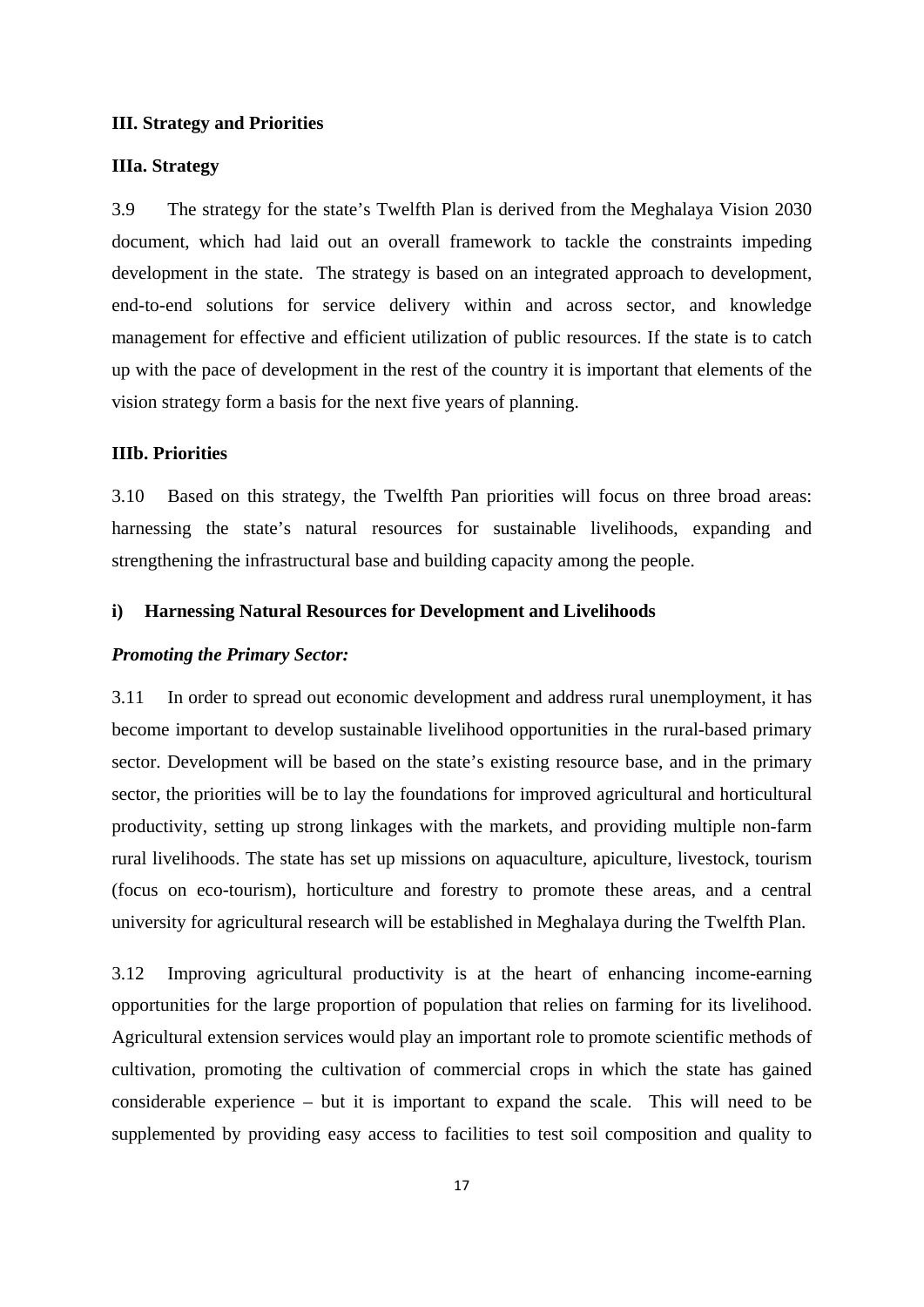### **III. Strategy and Priorities**

### **IIIa. Strategy**

3.9 The strategy for the state's Twelfth Plan is derived from the Meghalaya Vision 2030 document, which had laid out an overall framework to tackle the constraints impeding development in the state. The strategy is based on an integrated approach to development, end-to-end solutions for service delivery within and across sector, and knowledge management for effective and efficient utilization of public resources. If the state is to catch up with the pace of development in the rest of the country it is important that elements of the vision strategy form a basis for the next five years of planning.

#### **IIIb. Priorities**

3.10 Based on this strategy, the Twelfth Pan priorities will focus on three broad areas: harnessing the state's natural resources for sustainable livelihoods, expanding and strengthening the infrastructural base and building capacity among the people.

# **i) Harnessing Natural Resources for Development and Livelihoods**

# *Promoting the Primary Sector:*

3.11 In order to spread out economic development and address rural unemployment, it has become important to develop sustainable livelihood opportunities in the rural-based primary sector. Development will be based on the state's existing resource base, and in the primary sector, the priorities will be to lay the foundations for improved agricultural and horticultural productivity, setting up strong linkages with the markets, and providing multiple non-farm rural livelihoods. The state has set up missions on aquaculture, apiculture, livestock, tourism (focus on eco-tourism), horticulture and forestry to promote these areas, and a central university for agricultural research will be established in Meghalaya during the Twelfth Plan.

3.12 Improving agricultural productivity is at the heart of enhancing income-earning opportunities for the large proportion of population that relies on farming for its livelihood. Agricultural extension services would play an important role to promote scientific methods of cultivation, promoting the cultivation of commercial crops in which the state has gained considerable experience – but it is important to expand the scale. This will need to be supplemented by providing easy access to facilities to test soil composition and quality to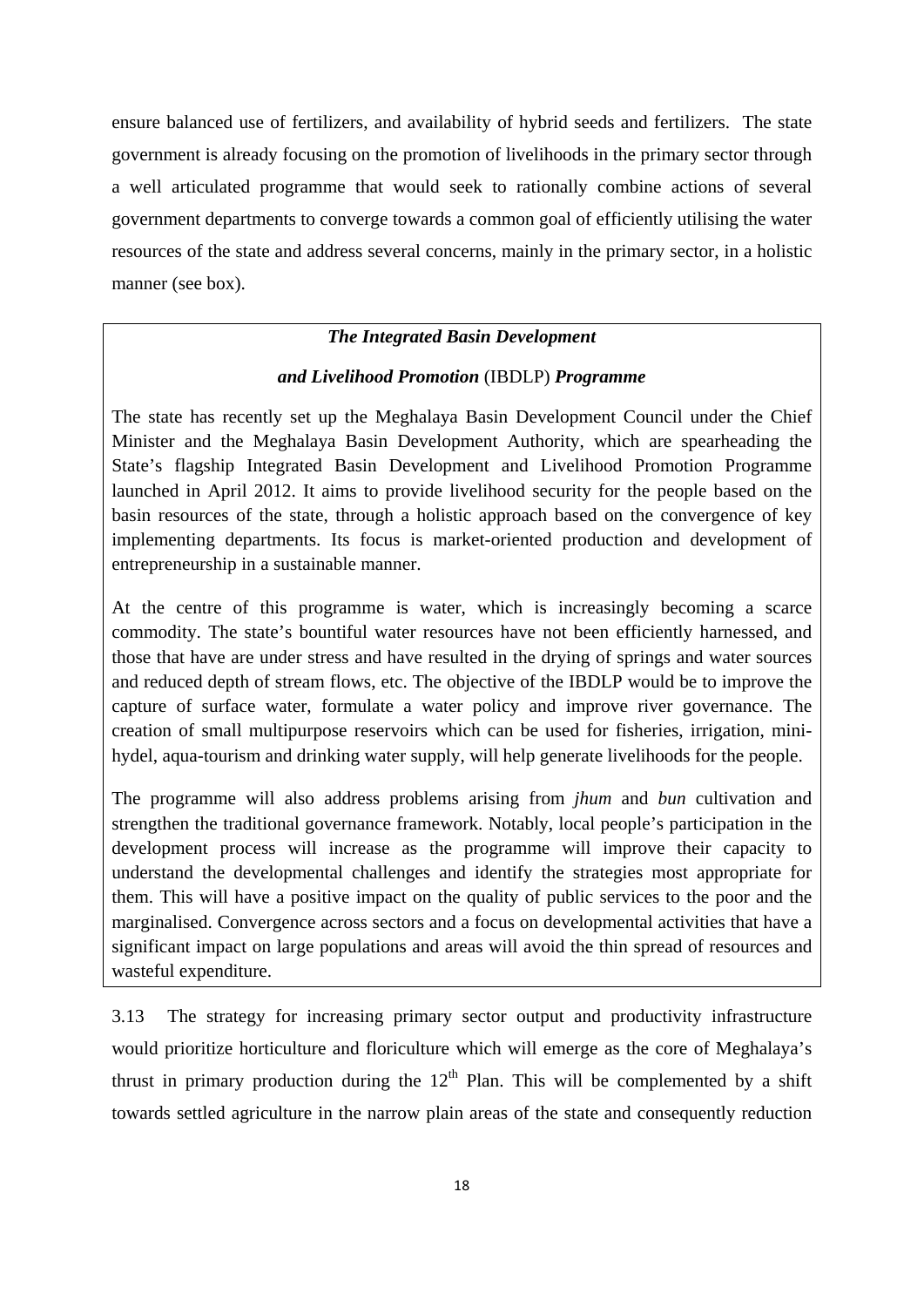ensure balanced use of fertilizers, and availability of hybrid seeds and fertilizers. The state government is already focusing on the promotion of livelihoods in the primary sector through a well articulated programme that would seek to rationally combine actions of several government departments to converge towards a common goal of efficiently utilising the water resources of the state and address several concerns, mainly in the primary sector, in a holistic manner (see box).

# *The Integrated Basin Development*

# *and Livelihood Promotion* (IBDLP) *Programme*

The state has recently set up the Meghalaya Basin Development Council under the Chief Minister and the Meghalaya Basin Development Authority, which are spearheading the State's flagship Integrated Basin Development and Livelihood Promotion Programme launched in April 2012. It aims to provide livelihood security for the people based on the basin resources of the state, through a holistic approach based on the convergence of key implementing departments. Its focus is market-oriented production and development of entrepreneurship in a sustainable manner.

At the centre of this programme is water, which is increasingly becoming a scarce commodity. The state's bountiful water resources have not been efficiently harnessed, and those that have are under stress and have resulted in the drying of springs and water sources and reduced depth of stream flows, etc. The objective of the IBDLP would be to improve the capture of surface water, formulate a water policy and improve river governance. The creation of small multipurpose reservoirs which can be used for fisheries, irrigation, minihydel, aqua-tourism and drinking water supply, will help generate livelihoods for the people.

The programme will also address problems arising from *jhum* and *bun* cultivation and strengthen the traditional governance framework. Notably, local people's participation in the development process will increase as the programme will improve their capacity to understand the developmental challenges and identify the strategies most appropriate for them. This will have a positive impact on the quality of public services to the poor and the marginalised. Convergence across sectors and a focus on developmental activities that have a significant impact on large populations and areas will avoid the thin spread of resources and wasteful expenditure.

3.13 The strategy for increasing primary sector output and productivity infrastructure would prioritize horticulture and floriculture which will emerge as the core of Meghalaya's thrust in primary production during the  $12<sup>th</sup>$  Plan. This will be complemented by a shift towards settled agriculture in the narrow plain areas of the state and consequently reduction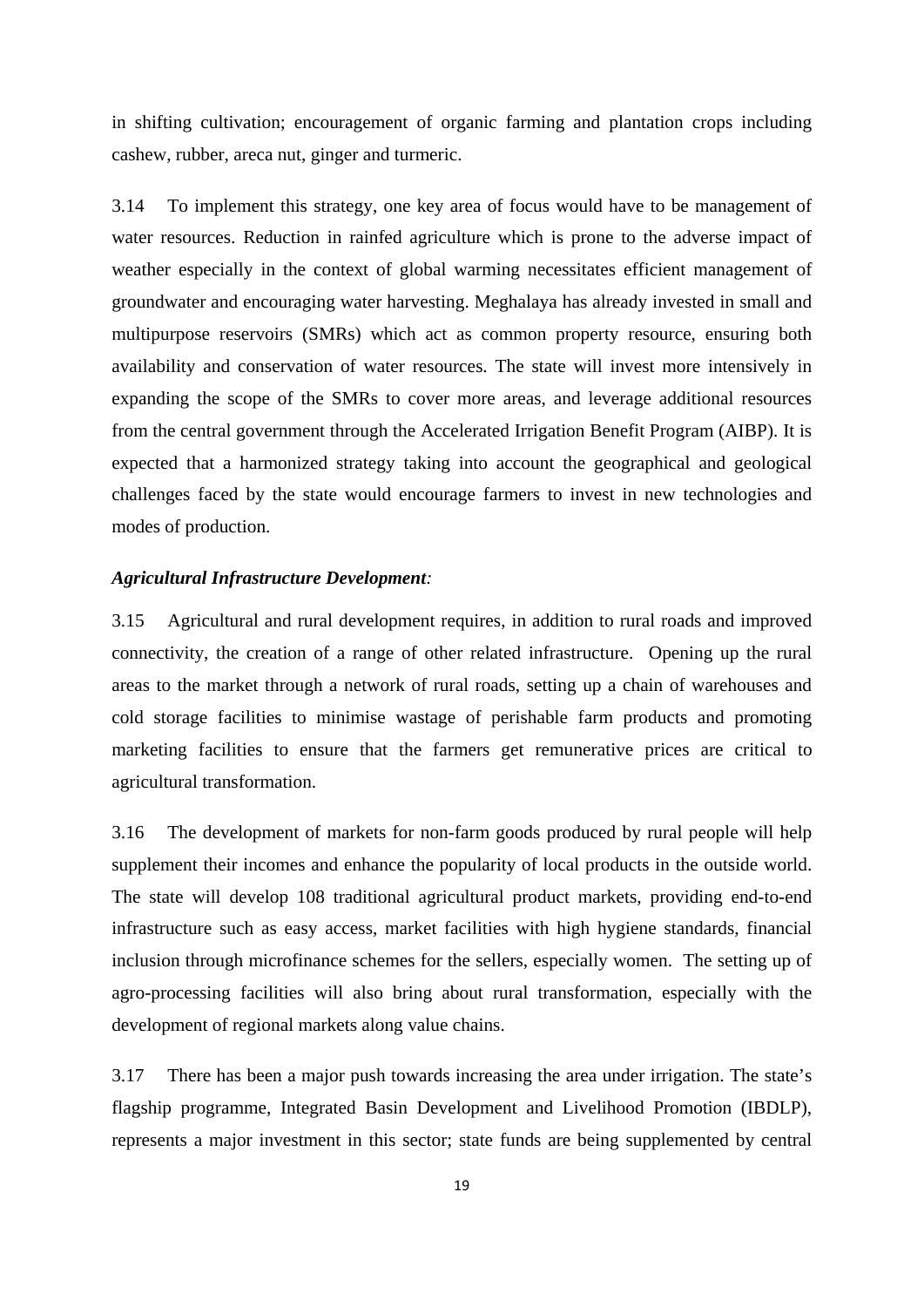in shifting cultivation; encouragement of organic farming and plantation crops including cashew, rubber, areca nut, ginger and turmeric.

3.14 To implement this strategy, one key area of focus would have to be management of water resources. Reduction in rainfed agriculture which is prone to the adverse impact of weather especially in the context of global warming necessitates efficient management of groundwater and encouraging water harvesting. Meghalaya has already invested in small and multipurpose reservoirs (SMRs) which act as common property resource, ensuring both availability and conservation of water resources. The state will invest more intensively in expanding the scope of the SMRs to cover more areas, and leverage additional resources from the central government through the Accelerated Irrigation Benefit Program (AIBP). It is expected that a harmonized strategy taking into account the geographical and geological challenges faced by the state would encourage farmers to invest in new technologies and modes of production.

# *Agricultural Infrastructure Development:*

3.15 Agricultural and rural development requires, in addition to rural roads and improved connectivity, the creation of a range of other related infrastructure. Opening up the rural areas to the market through a network of rural roads, setting up a chain of warehouses and cold storage facilities to minimise wastage of perishable farm products and promoting marketing facilities to ensure that the farmers get remunerative prices are critical to agricultural transformation.

3.16 The development of markets for non-farm goods produced by rural people will help supplement their incomes and enhance the popularity of local products in the outside world. The state will develop 108 traditional agricultural product markets, providing end-to-end infrastructure such as easy access, market facilities with high hygiene standards, financial inclusion through microfinance schemes for the sellers, especially women. The setting up of agro-processing facilities will also bring about rural transformation, especially with the development of regional markets along value chains.

3.17 There has been a major push towards increasing the area under irrigation. The state's flagship programme, Integrated Basin Development and Livelihood Promotion (IBDLP), represents a major investment in this sector; state funds are being supplemented by central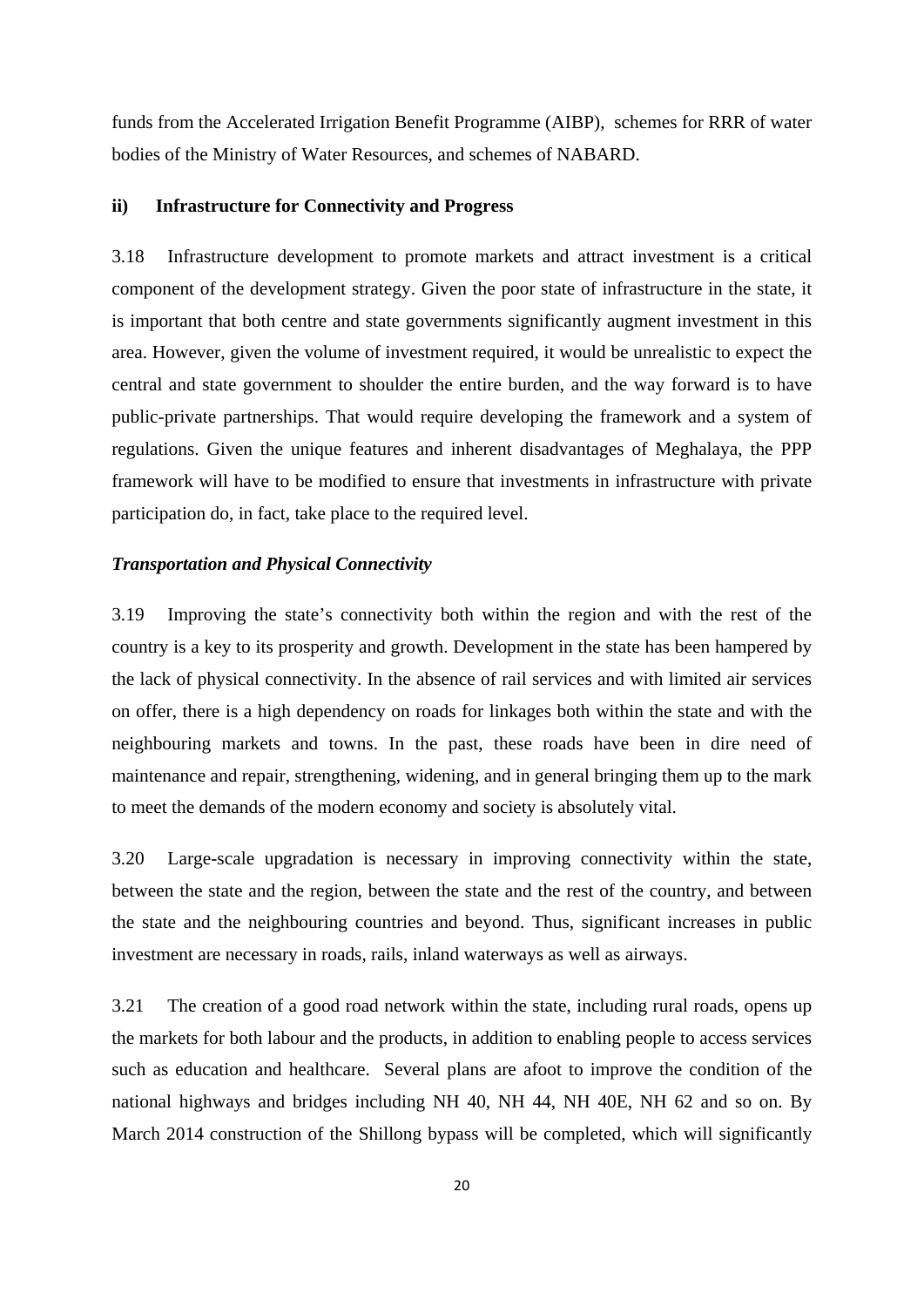funds from the Accelerated Irrigation Benefit Programme (AIBP), schemes for RRR of water bodies of the Ministry of Water Resources, and schemes of NABARD.

# **ii) Infrastructure for Connectivity and Progress**

3.18 Infrastructure development to promote markets and attract investment is a critical component of the development strategy. Given the poor state of infrastructure in the state, it is important that both centre and state governments significantly augment investment in this area. However, given the volume of investment required, it would be unrealistic to expect the central and state government to shoulder the entire burden, and the way forward is to have public-private partnerships. That would require developing the framework and a system of regulations. Given the unique features and inherent disadvantages of Meghalaya, the PPP framework will have to be modified to ensure that investments in infrastructure with private participation do, in fact, take place to the required level.

#### *Transportation and Physical Connectivity*

3.19 Improving the state's connectivity both within the region and with the rest of the country is a key to its prosperity and growth. Development in the state has been hampered by the lack of physical connectivity. In the absence of rail services and with limited air services on offer, there is a high dependency on roads for linkages both within the state and with the neighbouring markets and towns. In the past, these roads have been in dire need of maintenance and repair, strengthening, widening, and in general bringing them up to the mark to meet the demands of the modern economy and society is absolutely vital.

3.20 Large-scale upgradation is necessary in improving connectivity within the state, between the state and the region, between the state and the rest of the country, and between the state and the neighbouring countries and beyond. Thus, significant increases in public investment are necessary in roads, rails, inland waterways as well as airways.

3.21 The creation of a good road network within the state, including rural roads, opens up the markets for both labour and the products, in addition to enabling people to access services such as education and healthcare. Several plans are afoot to improve the condition of the national highways and bridges including NH 40, NH 44, NH 40E, NH 62 and so on. By March 2014 construction of the Shillong bypass will be completed, which will significantly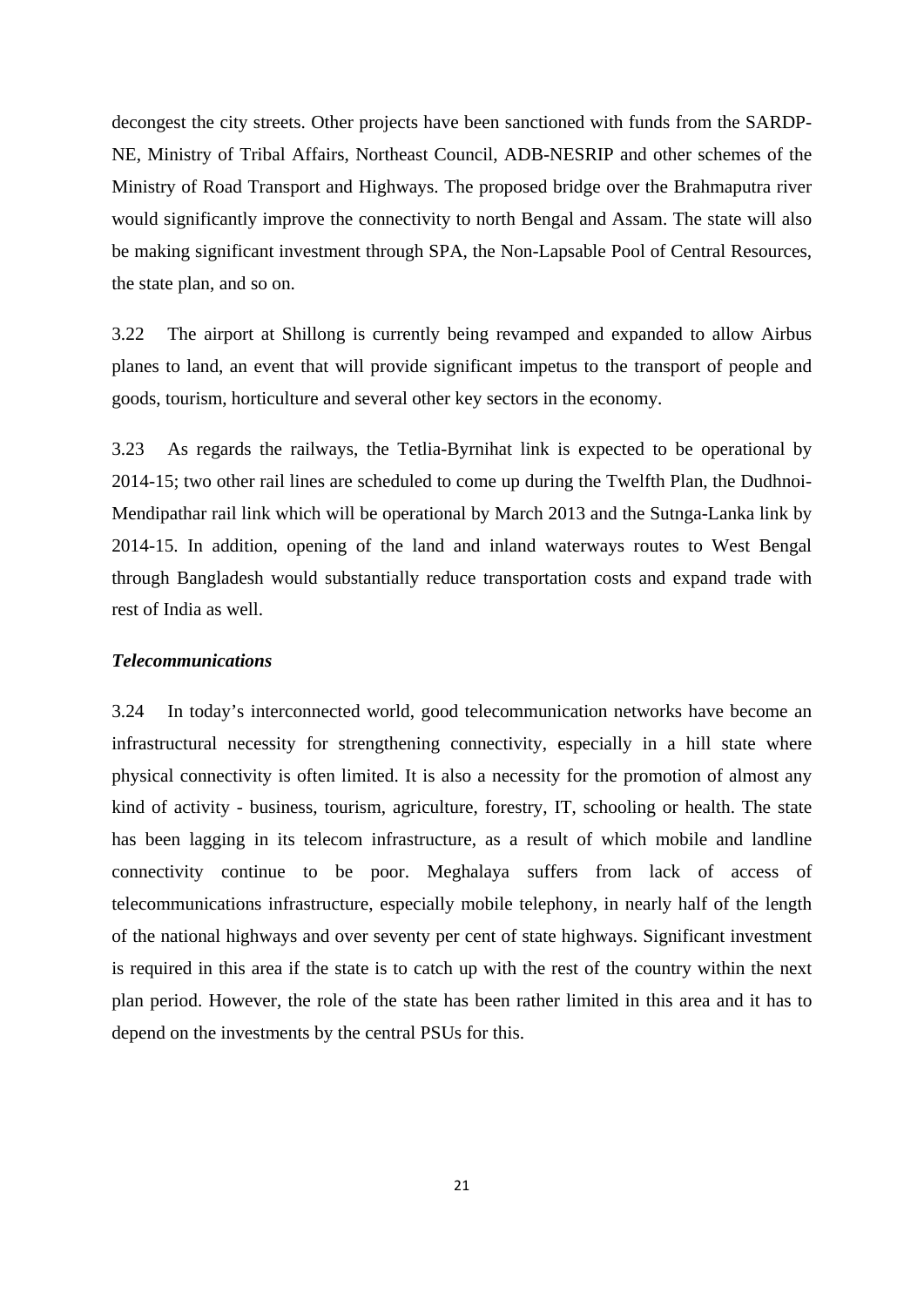decongest the city streets. Other projects have been sanctioned with funds from the SARDP-NE, Ministry of Tribal Affairs, Northeast Council, ADB-NESRIP and other schemes of the Ministry of Road Transport and Highways. The proposed bridge over the Brahmaputra river would significantly improve the connectivity to north Bengal and Assam. The state will also be making significant investment through SPA, the Non-Lapsable Pool of Central Resources, the state plan, and so on.

3.22 The airport at Shillong is currently being revamped and expanded to allow Airbus planes to land, an event that will provide significant impetus to the transport of people and goods, tourism, horticulture and several other key sectors in the economy.

3.23 As regards the railways, the Tetlia-Byrnihat link is expected to be operational by 2014-15; two other rail lines are scheduled to come up during the Twelfth Plan, the Dudhnoi-Mendipathar rail link which will be operational by March 2013 and the Sutnga-Lanka link by 2014-15. In addition, opening of the land and inland waterways routes to West Bengal through Bangladesh would substantially reduce transportation costs and expand trade with rest of India as well.

# *Telecommunications*

3.24 In today's interconnected world, good telecommunication networks have become an infrastructural necessity for strengthening connectivity, especially in a hill state where physical connectivity is often limited. It is also a necessity for the promotion of almost any kind of activity - business, tourism, agriculture, forestry, IT, schooling or health. The state has been lagging in its telecom infrastructure, as a result of which mobile and landline connectivity continue to be poor. Meghalaya suffers from lack of access of telecommunications infrastructure, especially mobile telephony, in nearly half of the length of the national highways and over seventy per cent of state highways. Significant investment is required in this area if the state is to catch up with the rest of the country within the next plan period. However, the role of the state has been rather limited in this area and it has to depend on the investments by the central PSUs for this.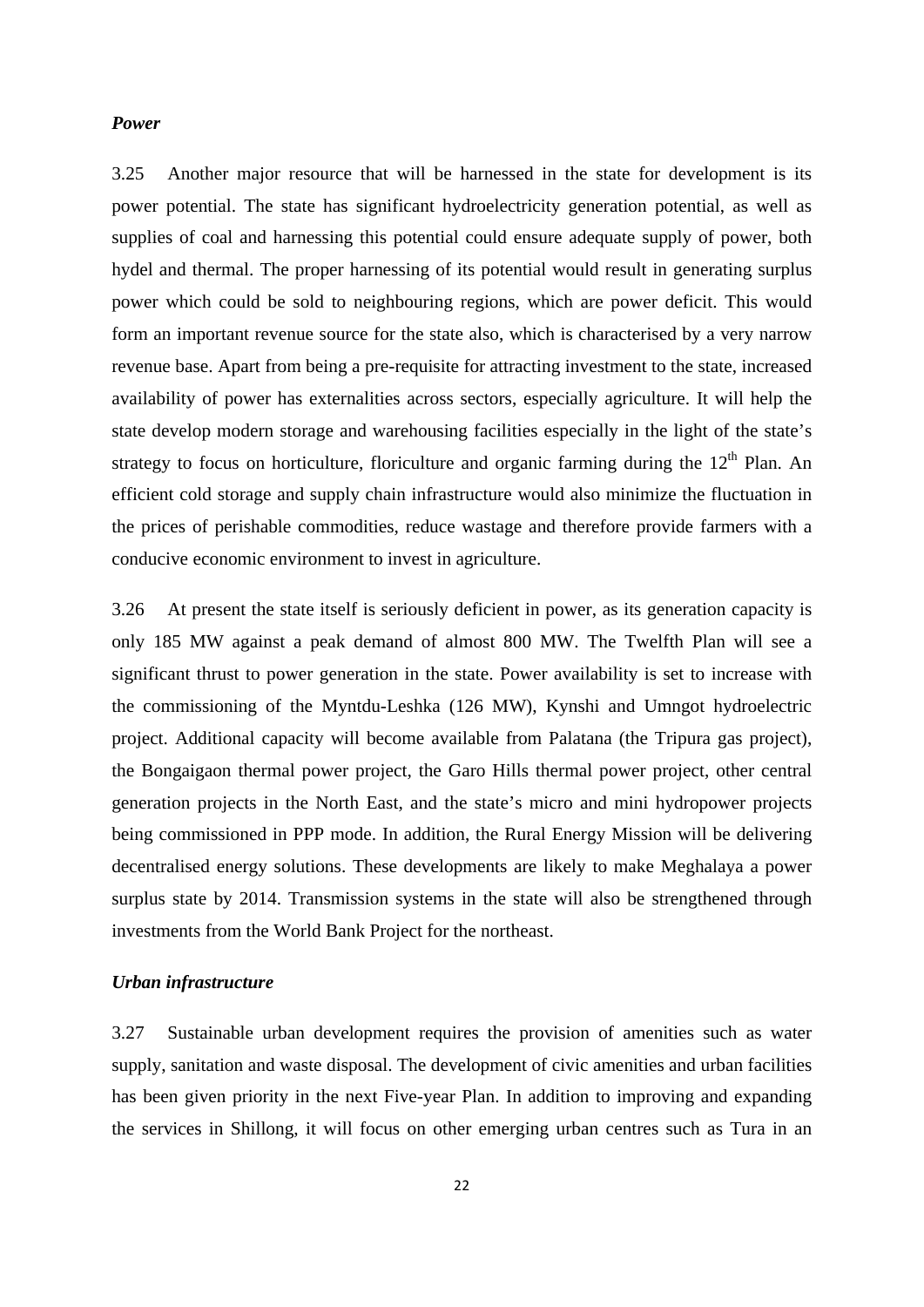#### *Power*

3.25 Another major resource that will be harnessed in the state for development is its power potential. The state has significant hydroelectricity generation potential, as well as supplies of coal and harnessing this potential could ensure adequate supply of power, both hydel and thermal. The proper harnessing of its potential would result in generating surplus power which could be sold to neighbouring regions, which are power deficit. This would form an important revenue source for the state also, which is characterised by a very narrow revenue base. Apart from being a pre-requisite for attracting investment to the state, increased availability of power has externalities across sectors, especially agriculture. It will help the state develop modern storage and warehousing facilities especially in the light of the state's strategy to focus on horticulture, floriculture and organic farming during the  $12<sup>th</sup>$  Plan. An efficient cold storage and supply chain infrastructure would also minimize the fluctuation in the prices of perishable commodities, reduce wastage and therefore provide farmers with a conducive economic environment to invest in agriculture.

3.26 At present the state itself is seriously deficient in power, as its generation capacity is only 185 MW against a peak demand of almost 800 MW. The Twelfth Plan will see a significant thrust to power generation in the state. Power availability is set to increase with the commissioning of the Myntdu-Leshka (126 MW), Kynshi and Umngot hydroelectric project. Additional capacity will become available from Palatana (the Tripura gas project), the Bongaigaon thermal power project, the Garo Hills thermal power project, other central generation projects in the North East, and the state's micro and mini hydropower projects being commissioned in PPP mode. In addition, the Rural Energy Mission will be delivering decentralised energy solutions. These developments are likely to make Meghalaya a power surplus state by 2014. Transmission systems in the state will also be strengthened through investments from the World Bank Project for the northeast.

# *Urban infrastructure*

3.27 Sustainable urban development requires the provision of amenities such as water supply, sanitation and waste disposal. The development of civic amenities and urban facilities has been given priority in the next Five-year Plan. In addition to improving and expanding the services in Shillong, it will focus on other emerging urban centres such as Tura in an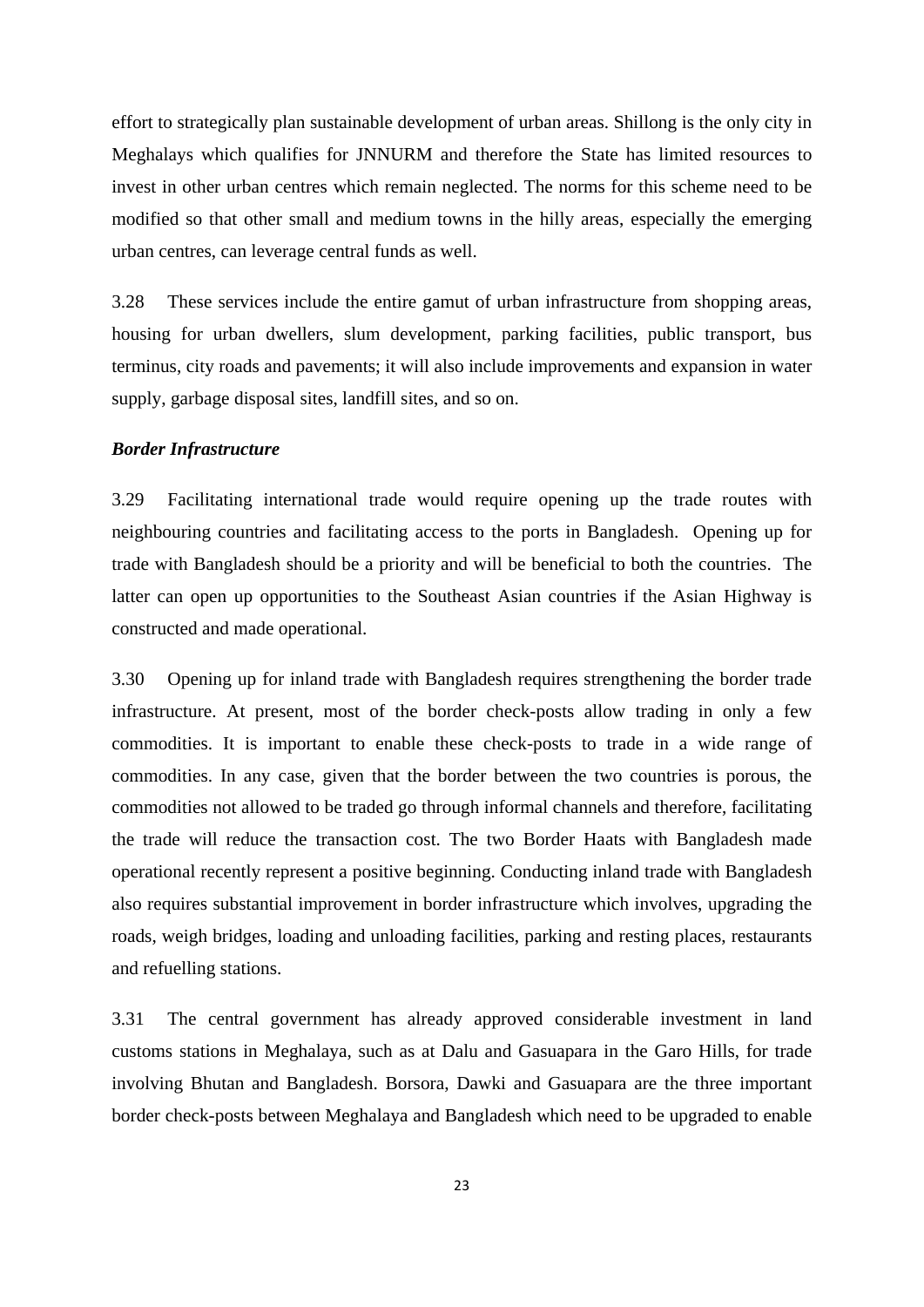effort to strategically plan sustainable development of urban areas. Shillong is the only city in Meghalays which qualifies for JNNURM and therefore the State has limited resources to invest in other urban centres which remain neglected. The norms for this scheme need to be modified so that other small and medium towns in the hilly areas, especially the emerging urban centres, can leverage central funds as well.

3.28 These services include the entire gamut of urban infrastructure from shopping areas, housing for urban dwellers, slum development, parking facilities, public transport, bus terminus, city roads and pavements; it will also include improvements and expansion in water supply, garbage disposal sites, landfill sites, and so on.

#### *Border Infrastructure*

3.29 Facilitating international trade would require opening up the trade routes with neighbouring countries and facilitating access to the ports in Bangladesh. Opening up for trade with Bangladesh should be a priority and will be beneficial to both the countries. The latter can open up opportunities to the Southeast Asian countries if the Asian Highway is constructed and made operational.

3.30 Opening up for inland trade with Bangladesh requires strengthening the border trade infrastructure. At present, most of the border check-posts allow trading in only a few commodities. It is important to enable these check-posts to trade in a wide range of commodities. In any case, given that the border between the two countries is porous, the commodities not allowed to be traded go through informal channels and therefore, facilitating the trade will reduce the transaction cost. The two Border Haats with Bangladesh made operational recently represent a positive beginning. Conducting inland trade with Bangladesh also requires substantial improvement in border infrastructure which involves, upgrading the roads, weigh bridges, loading and unloading facilities, parking and resting places, restaurants and refuelling stations.

3.31 The central government has already approved considerable investment in land customs stations in Meghalaya, such as at Dalu and Gasuapara in the Garo Hills, for trade involving Bhutan and Bangladesh. Borsora, Dawki and Gasuapara are the three important border check-posts between Meghalaya and Bangladesh which need to be upgraded to enable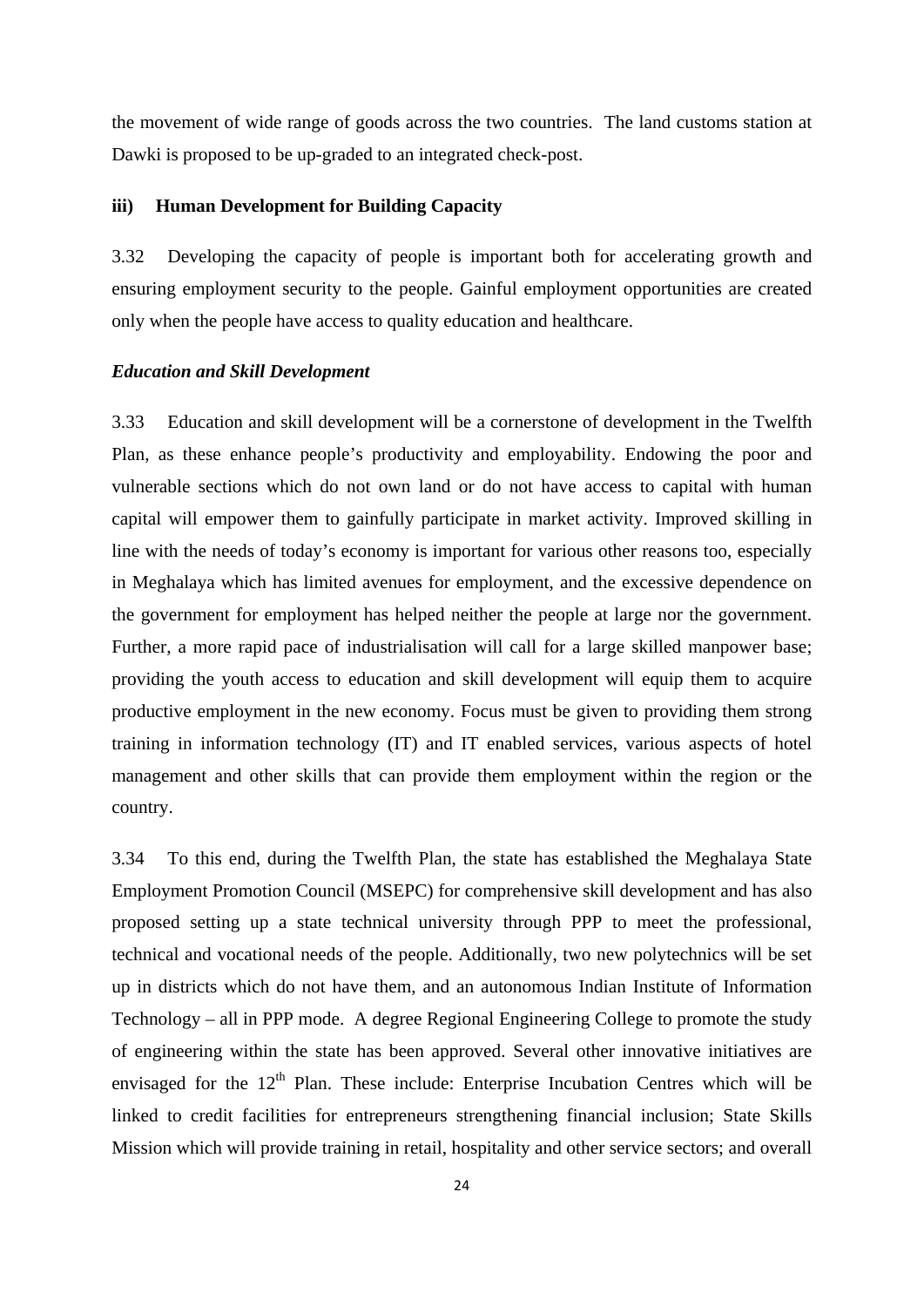the movement of wide range of goods across the two countries. The land customs station at Dawki is proposed to be up-graded to an integrated check-post.

# **iii) Human Development for Building Capacity**

3.32 Developing the capacity of people is important both for accelerating growth and ensuring employment security to the people. Gainful employment opportunities are created only when the people have access to quality education and healthcare.

## *Education and Skill Development*

3.33 Education and skill development will be a cornerstone of development in the Twelfth Plan, as these enhance people's productivity and employability. Endowing the poor and vulnerable sections which do not own land or do not have access to capital with human capital will empower them to gainfully participate in market activity. Improved skilling in line with the needs of today's economy is important for various other reasons too, especially in Meghalaya which has limited avenues for employment, and the excessive dependence on the government for employment has helped neither the people at large nor the government. Further, a more rapid pace of industrialisation will call for a large skilled manpower base; providing the youth access to education and skill development will equip them to acquire productive employment in the new economy. Focus must be given to providing them strong training in information technology (IT) and IT enabled services, various aspects of hotel management and other skills that can provide them employment within the region or the country.

3.34 To this end, during the Twelfth Plan, the state has established the Meghalaya State Employment Promotion Council (MSEPC) for comprehensive skill development and has also proposed setting up a state technical university through PPP to meet the professional, technical and vocational needs of the people. Additionally, two new polytechnics will be set up in districts which do not have them, and an autonomous Indian Institute of Information Technology – all in PPP mode. A degree Regional Engineering College to promote the study of engineering within the state has been approved. Several other innovative initiatives are envisaged for the  $12<sup>th</sup>$  Plan. These include: Enterprise Incubation Centres which will be linked to credit facilities for entrepreneurs strengthening financial inclusion; State Skills Mission which will provide training in retail, hospitality and other service sectors; and overall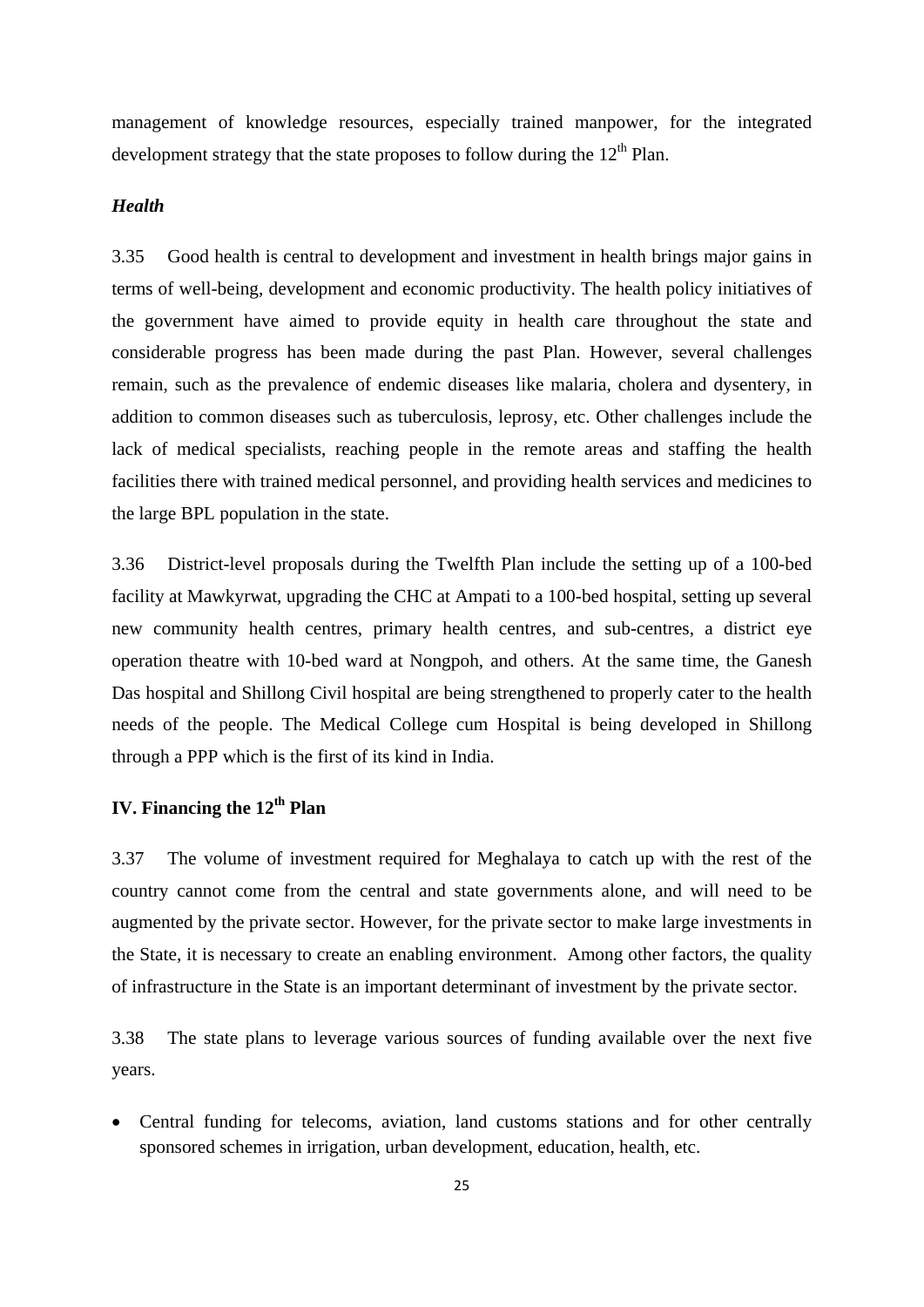management of knowledge resources, especially trained manpower, for the integrated development strategy that the state proposes to follow during the  $12<sup>th</sup>$  Plan.

# *Health*

3.35 Good health is central to development and investment in health brings major gains in terms of well-being, development and economic productivity. The health policy initiatives of the government have aimed to provide equity in health care throughout the state and considerable progress has been made during the past Plan. However, several challenges remain, such as the prevalence of endemic diseases like malaria, cholera and dysentery, in addition to common diseases such as tuberculosis, leprosy, etc. Other challenges include the lack of medical specialists, reaching people in the remote areas and staffing the health facilities there with trained medical personnel, and providing health services and medicines to the large BPL population in the state.

3.36 District-level proposals during the Twelfth Plan include the setting up of a 100-bed facility at Mawkyrwat, upgrading the CHC at Ampati to a 100-bed hospital, setting up several new community health centres, primary health centres, and sub-centres, a district eye operation theatre with 10-bed ward at Nongpoh, and others. At the same time, the Ganesh Das hospital and Shillong Civil hospital are being strengthened to properly cater to the health needs of the people. The Medical College cum Hospital is being developed in Shillong through a PPP which is the first of its kind in India.

# **IV. Financing the 12<sup>th</sup> Plan**

3.37 The volume of investment required for Meghalaya to catch up with the rest of the country cannot come from the central and state governments alone, and will need to be augmented by the private sector. However, for the private sector to make large investments in the State, it is necessary to create an enabling environment. Among other factors, the quality of infrastructure in the State is an important determinant of investment by the private sector.

3.38 The state plans to leverage various sources of funding available over the next five years.

 Central funding for telecoms, aviation, land customs stations and for other centrally sponsored schemes in irrigation, urban development, education, health, etc.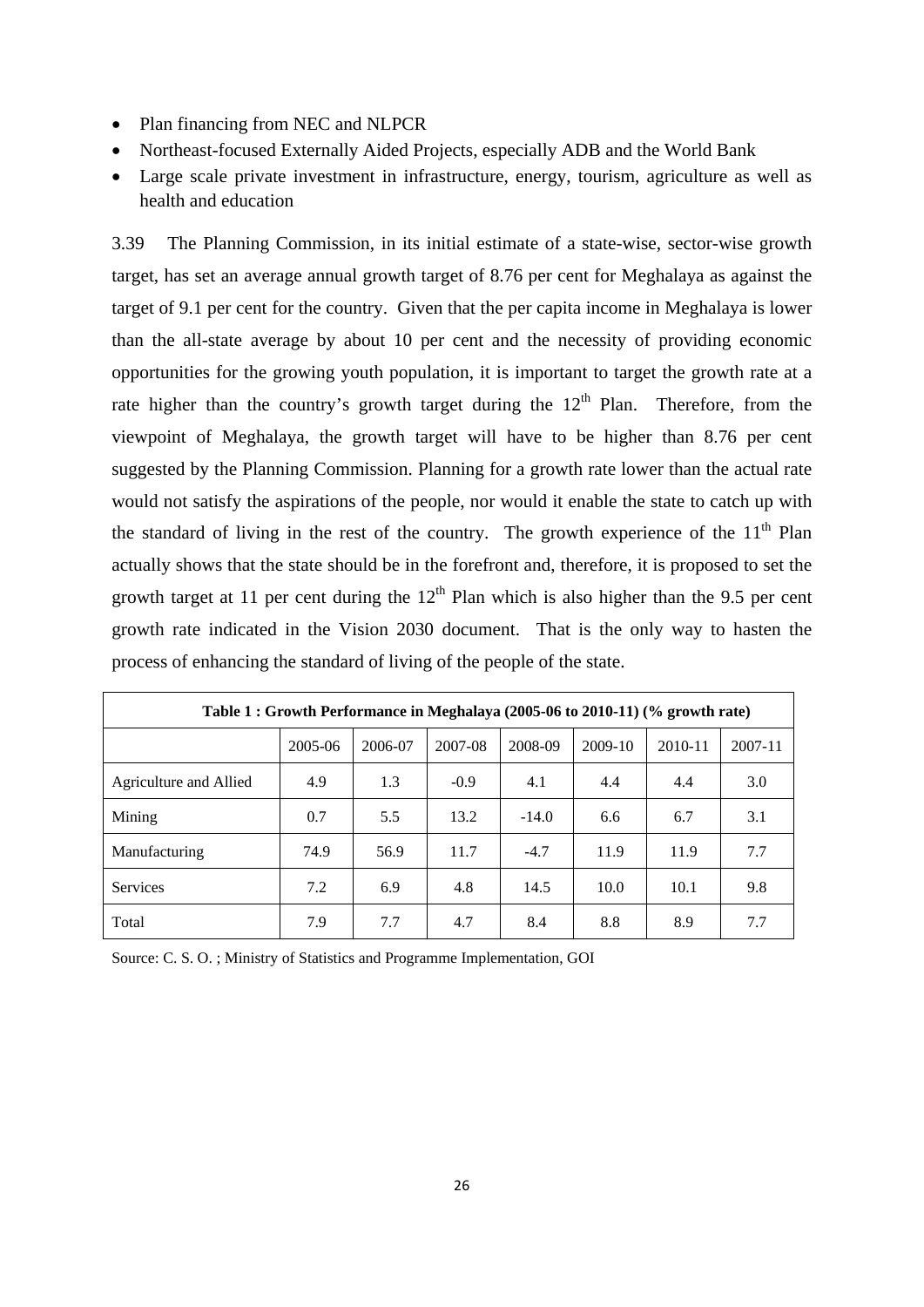- Plan financing from NEC and NLPCR
- Northeast-focused Externally Aided Projects, especially ADB and the World Bank
- Large scale private investment in infrastructure, energy, tourism, agriculture as well as health and education

3.39 The Planning Commission, in its initial estimate of a state-wise, sector-wise growth target, has set an average annual growth target of 8.76 per cent for Meghalaya as against the target of 9.1 per cent for the country. Given that the per capita income in Meghalaya is lower than the all-state average by about 10 per cent and the necessity of providing economic opportunities for the growing youth population, it is important to target the growth rate at a rate higher than the country's growth target during the  $12<sup>th</sup>$  Plan. Therefore, from the viewpoint of Meghalaya, the growth target will have to be higher than 8.76 per cent suggested by the Planning Commission. Planning for a growth rate lower than the actual rate would not satisfy the aspirations of the people, nor would it enable the state to catch up with the standard of living in the rest of the country. The growth experience of the  $11<sup>th</sup>$  Plan actually shows that the state should be in the forefront and, therefore, it is proposed to set the growth target at 11 per cent during the  $12<sup>th</sup>$  Plan which is also higher than the 9.5 per cent growth rate indicated in the Vision 2030 document. That is the only way to hasten the process of enhancing the standard of living of the people of the state.

| Table 1 : Growth Performance in Meghalaya (2005-06 to 2010-11) (% growth rate) |         |         |         |         |         |             |             |  |  |
|--------------------------------------------------------------------------------|---------|---------|---------|---------|---------|-------------|-------------|--|--|
|                                                                                | 2005-06 | 2006-07 | 2007-08 | 2008-09 | 2009-10 | $2010 - 11$ | $2007 - 11$ |  |  |
| Agriculture and Allied                                                         | 4.9     | 1.3     | $-0.9$  | 4.1     | 4.4     | 4.4         | 3.0         |  |  |
| Mining                                                                         | 0.7     | 5.5     | 13.2    | $-14.0$ | 6.6     | 6.7         | 3.1         |  |  |
| Manufacturing                                                                  | 74.9    | 56.9    | 11.7    | $-4.7$  | 11.9    | 11.9        | 7.7         |  |  |
| <b>Services</b>                                                                | 7.2     | 6.9     | 4.8     | 14.5    | 10.0    | 10.1        | 9.8         |  |  |
| Total                                                                          | 7.9     | 7.7     | 4.7     | 8.4     | 8.8     | 8.9         | 7.7         |  |  |

Source: C. S. O. ; Ministry of Statistics and Programme Implementation, GOI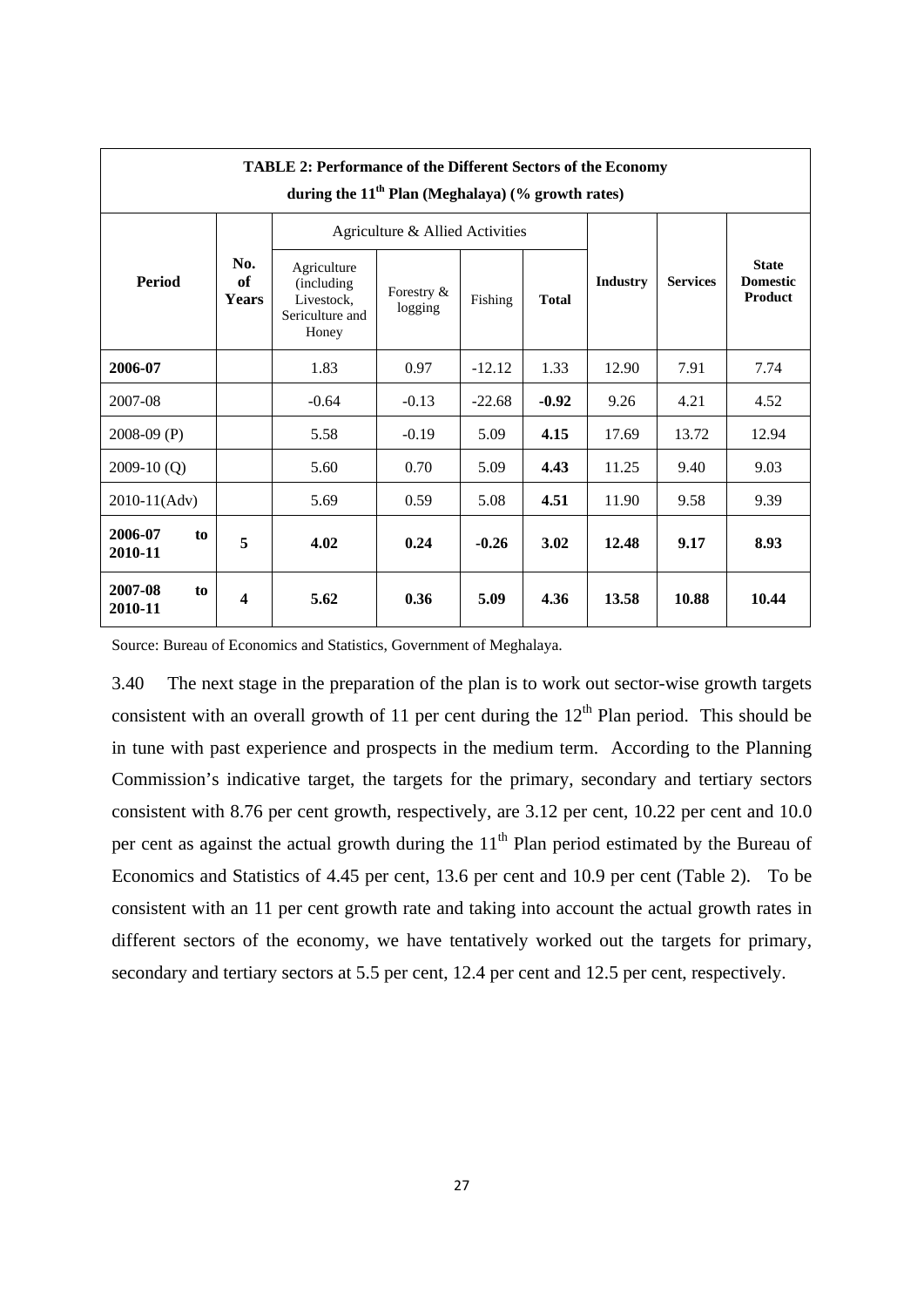| <b>TABLE 2: Performance of the Different Sectors of the Economy</b><br>during the 11 <sup>th</sup> Plan (Meghalaya) (% growth rates) |                           |                                                                     |                       |          |              |                 |                 |                                            |  |
|--------------------------------------------------------------------------------------------------------------------------------------|---------------------------|---------------------------------------------------------------------|-----------------------|----------|--------------|-----------------|-----------------|--------------------------------------------|--|
|                                                                                                                                      |                           | Agriculture & Allied Activities                                     |                       |          |              |                 |                 |                                            |  |
| <b>Period</b>                                                                                                                        | No.<br>of<br><b>Years</b> | Agriculture<br>(including<br>Livestock,<br>Sericulture and<br>Honey | Forestry &<br>logging | Fishing  | <b>Total</b> | <b>Industry</b> | <b>Services</b> | <b>State</b><br><b>Domestic</b><br>Product |  |
| 2006-07                                                                                                                              |                           | 1.83                                                                | 0.97                  | $-12.12$ | 1.33         | 12.90           | 7.91            | 7.74                                       |  |
| 2007-08                                                                                                                              |                           | $-0.64$                                                             | $-0.13$               | $-22.68$ | $-0.92$      | 9.26            | 4.21            | 4.52                                       |  |
| 2008-09 (P)                                                                                                                          |                           | 5.58                                                                | $-0.19$               | 5.09     | 4.15         | 17.69           | 13.72           | 12.94                                      |  |
| $2009-10(Q)$                                                                                                                         |                           | 5.60                                                                | 0.70                  | 5.09     | 4.43         | 11.25           | 9.40            | 9.03                                       |  |
| 2010-11(Adv)                                                                                                                         |                           | 5.69                                                                | 0.59                  | 5.08     | 4.51         | 11.90           | 9.58            | 9.39                                       |  |
| 2006-07<br>to<br>2010-11                                                                                                             | 5                         | 4.02                                                                | 0.24                  | $-0.26$  | 3.02         | 12.48           | 9.17            | 8.93                                       |  |
| 2007-08<br>to<br>2010-11                                                                                                             | $\overline{\mathbf{4}}$   | 5.62                                                                | 0.36                  | 5.09     | 4.36         | 13.58           | 10.88           | 10.44                                      |  |

Source: Bureau of Economics and Statistics, Government of Meghalaya.

3.40 The next stage in the preparation of the plan is to work out sector-wise growth targets consistent with an overall growth of 11 per cent during the  $12<sup>th</sup>$  Plan period. This should be in tune with past experience and prospects in the medium term. According to the Planning Commission's indicative target, the targets for the primary, secondary and tertiary sectors consistent with 8.76 per cent growth, respectively, are 3.12 per cent, 10.22 per cent and 10.0 per cent as against the actual growth during the  $11<sup>th</sup>$  Plan period estimated by the Bureau of Economics and Statistics of 4.45 per cent, 13.6 per cent and 10.9 per cent (Table 2). To be consistent with an 11 per cent growth rate and taking into account the actual growth rates in different sectors of the economy, we have tentatively worked out the targets for primary, secondary and tertiary sectors at 5.5 per cent, 12.4 per cent and 12.5 per cent, respectively.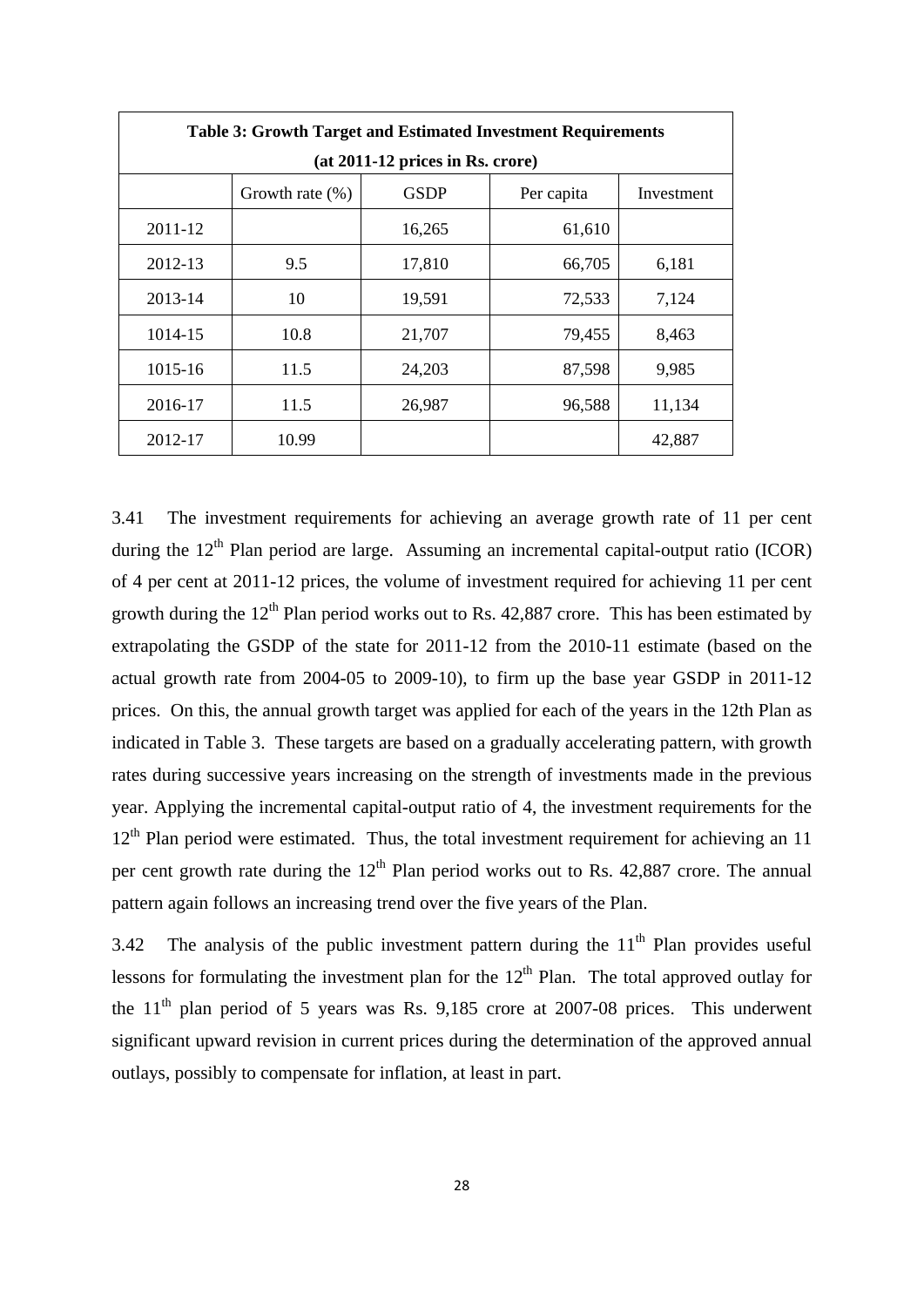| <b>Table 3: Growth Target and Estimated Investment Requirements</b> |                                                               |        |        |        |  |  |  |  |  |  |
|---------------------------------------------------------------------|---------------------------------------------------------------|--------|--------|--------|--|--|--|--|--|--|
| $(at 2011-12)$ prices in Rs. crore)                                 |                                                               |        |        |        |  |  |  |  |  |  |
|                                                                     | <b>GSDP</b><br>Per capita<br>Investment<br>Growth rate $(\%)$ |        |        |        |  |  |  |  |  |  |
| 2011-12                                                             |                                                               | 16,265 | 61,610 |        |  |  |  |  |  |  |
| 2012-13                                                             | 9.5                                                           | 17,810 | 66,705 | 6,181  |  |  |  |  |  |  |
| 2013-14                                                             | 10                                                            | 19,591 | 72,533 | 7,124  |  |  |  |  |  |  |
| 1014-15                                                             | 10.8                                                          | 21,707 | 79,455 | 8,463  |  |  |  |  |  |  |
| 1015-16                                                             | 11.5                                                          | 24,203 | 87,598 | 9,985  |  |  |  |  |  |  |
| 2016-17                                                             | 11.5                                                          | 26,987 | 96,588 | 11,134 |  |  |  |  |  |  |
| 2012-17                                                             | 10.99                                                         |        |        | 42,887 |  |  |  |  |  |  |

3.41 The investment requirements for achieving an average growth rate of 11 per cent during the  $12<sup>th</sup>$  Plan period are large. Assuming an incremental capital-output ratio (ICOR) of 4 per cent at 2011-12 prices, the volume of investment required for achieving 11 per cent growth during the  $12<sup>th</sup>$  Plan period works out to Rs. 42,887 crore. This has been estimated by extrapolating the GSDP of the state for 2011-12 from the 2010-11 estimate (based on the actual growth rate from 2004-05 to 2009-10), to firm up the base year GSDP in 2011-12 prices. On this, the annual growth target was applied for each of the years in the 12th Plan as indicated in Table 3. These targets are based on a gradually accelerating pattern, with growth rates during successive years increasing on the strength of investments made in the previous year. Applying the incremental capital-output ratio of 4, the investment requirements for the  $12<sup>th</sup>$  Plan period were estimated. Thus, the total investment requirement for achieving an 11 per cent growth rate during the  $12<sup>th</sup>$  Plan period works out to Rs. 42,887 crore. The annual pattern again follows an increasing trend over the five years of the Plan.

3.42 The analysis of the public investment pattern during the  $11<sup>th</sup>$  Plan provides useful lessons for formulating the investment plan for the  $12<sup>th</sup>$  Plan. The total approved outlay for the  $11<sup>th</sup>$  plan period of 5 years was Rs. 9,185 crore at 2007-08 prices. This underwent significant upward revision in current prices during the determination of the approved annual outlays, possibly to compensate for inflation, at least in part.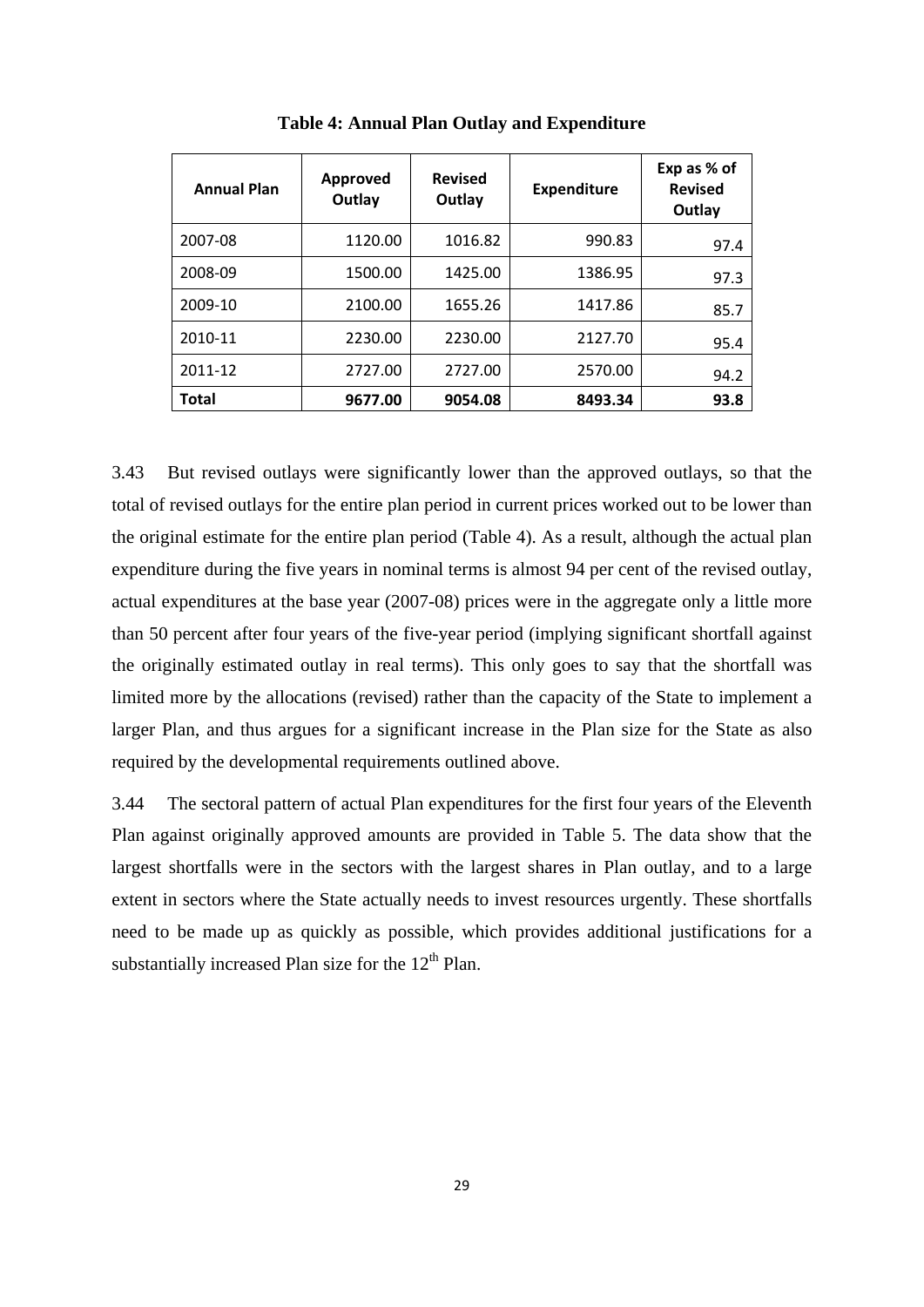| <b>Annual Plan</b> | Approved<br>Outlay | <b>Revised</b><br>Outlay | <b>Expenditure</b> | Exp as % of<br><b>Revised</b><br>Outlay |
|--------------------|--------------------|--------------------------|--------------------|-----------------------------------------|
| 2007-08            | 1120.00            | 1016.82                  | 990.83             | 97.4                                    |
| 2008-09            | 1500.00            | 1425.00                  | 1386.95            | 97.3                                    |
| 2009-10            | 2100.00            | 1655.26                  | 1417.86            | 85.7                                    |
| 2010-11            | 2230.00            | 2230.00                  | 2127.70            | 95.4                                    |
| 2011-12            | 2727.00            | 2727.00                  | 2570.00            | 94.2                                    |
| Total              | 9677.00            | 9054.08                  | 8493.34            | 93.8                                    |

**Table 4: Annual Plan Outlay and Expenditure** 

3.43 But revised outlays were significantly lower than the approved outlays, so that the total of revised outlays for the entire plan period in current prices worked out to be lower than the original estimate for the entire plan period (Table 4). As a result, although the actual plan expenditure during the five years in nominal terms is almost 94 per cent of the revised outlay, actual expenditures at the base year (2007-08) prices were in the aggregate only a little more than 50 percent after four years of the five-year period (implying significant shortfall against the originally estimated outlay in real terms). This only goes to say that the shortfall was limited more by the allocations (revised) rather than the capacity of the State to implement a larger Plan, and thus argues for a significant increase in the Plan size for the State as also required by the developmental requirements outlined above.

3.44 The sectoral pattern of actual Plan expenditures for the first four years of the Eleventh Plan against originally approved amounts are provided in Table 5. The data show that the largest shortfalls were in the sectors with the largest shares in Plan outlay, and to a large extent in sectors where the State actually needs to invest resources urgently. These shortfalls need to be made up as quickly as possible, which provides additional justifications for a substantially increased Plan size for the  $12<sup>th</sup>$  Plan.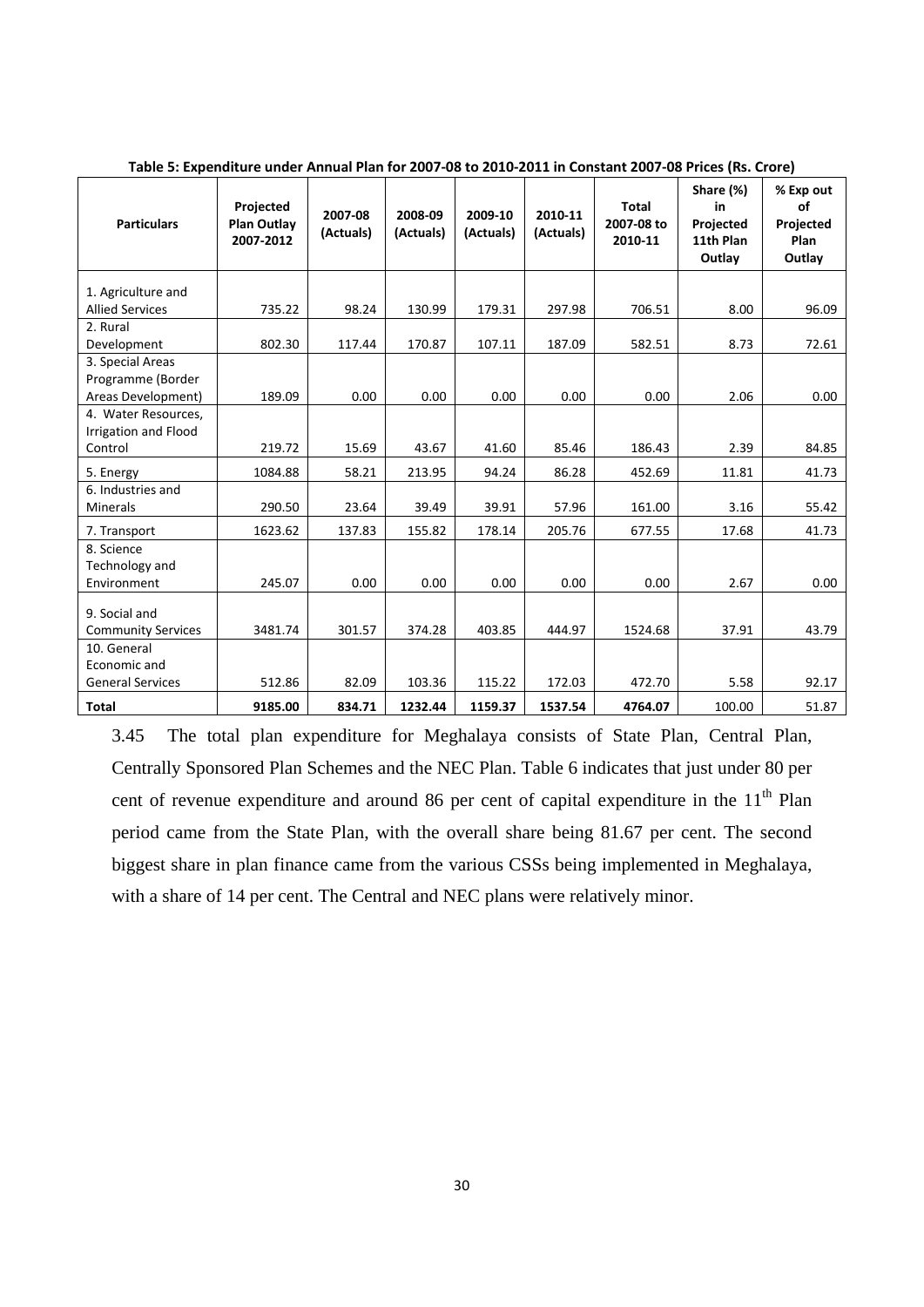| <b>Particulars</b>                          | Projected<br><b>Plan Outlay</b><br>2007-2012 | 2007-08<br>(Actuals) | 2008-09<br>(Actuals) | 2009-10<br>(Actuals) | 2010-11<br>(Actuals) | Total<br>2007-08 to<br>2010-11 | Share (%)<br>in<br>Projected<br>11th Plan<br>Outlay | % Exp out<br>of<br>Projected<br>Plan<br>Outlay |
|---------------------------------------------|----------------------------------------------|----------------------|----------------------|----------------------|----------------------|--------------------------------|-----------------------------------------------------|------------------------------------------------|
| 1. Agriculture and                          |                                              |                      |                      |                      |                      |                                |                                                     |                                                |
| <b>Allied Services</b>                      | 735.22                                       | 98.24                | 130.99               | 179.31               | 297.98               | 706.51                         | 8.00                                                | 96.09                                          |
| 2. Rural<br>Development                     | 802.30                                       | 117.44               | 170.87               | 107.11               | 187.09               | 582.51                         | 8.73                                                | 72.61                                          |
| 3. Special Areas<br>Programme (Border       |                                              |                      |                      |                      |                      |                                |                                                     |                                                |
| Areas Development)                          | 189.09                                       | 0.00                 | 0.00                 | 0.00                 | 0.00                 | 0.00                           | 2.06                                                | 0.00                                           |
| 4. Water Resources,<br>Irrigation and Flood |                                              |                      |                      |                      |                      |                                |                                                     |                                                |
| Control                                     | 219.72                                       | 15.69                | 43.67                | 41.60                | 85.46                | 186.43                         | 2.39                                                | 84.85                                          |
| 5. Energy                                   | 1084.88                                      | 58.21                | 213.95               | 94.24                | 86.28                | 452.69                         | 11.81                                               | 41.73                                          |
| 6. Industries and<br>Minerals               | 290.50                                       | 23.64                | 39.49                | 39.91                | 57.96                | 161.00                         | 3.16                                                | 55.42                                          |
| 7. Transport                                | 1623.62                                      | 137.83               | 155.82               | 178.14               | 205.76               | 677.55                         | 17.68                                               | 41.73                                          |
| 8. Science<br>Technology and<br>Environment | 245.07                                       | 0.00                 | 0.00                 | 0.00                 | 0.00                 | 0.00                           | 2.67                                                | 0.00                                           |
| 9. Social and<br><b>Community Services</b>  | 3481.74                                      | 301.57               | 374.28               | 403.85               | 444.97               | 1524.68                        | 37.91                                               | 43.79                                          |
| 10. General<br>Economic and                 |                                              |                      |                      |                      |                      |                                |                                                     |                                                |
| <b>General Services</b>                     | 512.86                                       | 82.09                | 103.36               | 115.22               | 172.03               | 472.70                         | 5.58                                                | 92.17                                          |
| <b>Total</b>                                | 9185.00                                      | 834.71               | 1232.44              | 1159.37              | 1537.54              | 4764.07                        | 100.00                                              | 51.87                                          |

Table 5: Expenditure under Annual Plan for 2007-08 to 2010-2011 in Constant 2007-08 Prices (Rs. Crore)

3.45 The total plan expenditure for Meghalaya consists of State Plan, Central Plan, Centrally Sponsored Plan Schemes and the NEC Plan. Table 6 indicates that just under 80 per cent of revenue expenditure and around 86 per cent of capital expenditure in the  $11<sup>th</sup>$  Plan period came from the State Plan, with the overall share being 81.67 per cent. The second biggest share in plan finance came from the various CSSs being implemented in Meghalaya, with a share of 14 per cent. The Central and NEC plans were relatively minor.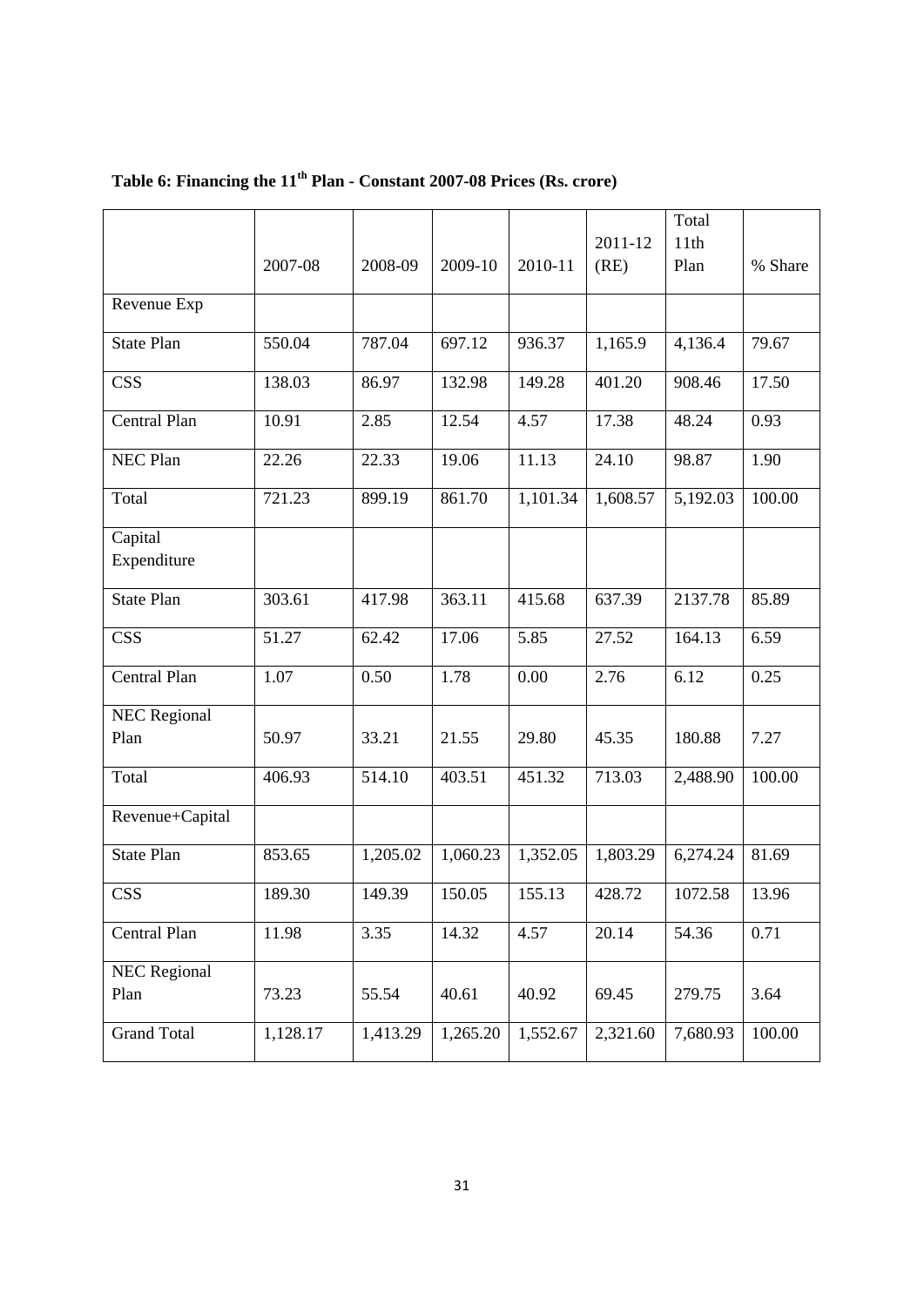|                     |          |          |          |          |                     | Total    |         |
|---------------------|----------|----------|----------|----------|---------------------|----------|---------|
|                     |          |          |          |          | 2011-12             | 11th     |         |
|                     | 2007-08  | 2008-09  | 2009-10  | 2010-11  | (RE)                | Plan     | % Share |
| Revenue Exp         |          |          |          |          |                     |          |         |
| <b>State Plan</b>   | 550.04   | 787.04   | 697.12   | 936.37   | 1,165.9             | 4,136.4  | 79.67   |
| <b>CSS</b>          | 138.03   | 86.97    | 132.98   | 149.28   | $\overline{401.20}$ | 908.46   | 17.50   |
| Central Plan        | 10.91    | 2.85     | 12.54    | 4.57     | 17.38               | 48.24    | 0.93    |
| NEC Plan            | 22.26    | 22.33    | 19.06    | 11.13    | 24.10               | 98.87    | 1.90    |
| Total               | 721.23   | 899.19   | 861.70   | 1,101.34 | 1,608.57            | 5,192.03 | 100.00  |
| Capital             |          |          |          |          |                     |          |         |
| Expenditure         |          |          |          |          |                     |          |         |
| <b>State Plan</b>   | 303.61   | 417.98   | 363.11   | 415.68   | 637.39              | 2137.78  | 85.89   |
| <b>CSS</b>          | 51.27    | 62.42    | 17.06    | 5.85     | 27.52               | 164.13   | 6.59    |
| Central Plan        | 1.07     | 0.50     | 1.78     | 0.00     | 2.76                | 6.12     | 0.25    |
| <b>NEC Regional</b> |          |          |          |          |                     |          |         |
| Plan                | 50.97    | 33.21    | 21.55    | 29.80    | 45.35               | 180.88   | 7.27    |
| Total               | 406.93   | 514.10   | 403.51   | 451.32   | 713.03              | 2,488.90 | 100.00  |
| Revenue+Capital     |          |          |          |          |                     |          |         |
| <b>State Plan</b>   | 853.65   | 1,205.02 | 1,060.23 | 1,352.05 | 1,803.29            | 6,274.24 | 81.69   |
| <b>CSS</b>          | 189.30   | 149.39   | 150.05   | 155.13   | 428.72              | 1072.58  | 13.96   |
| Central Plan        | 11.98    | 3.35     | 14.32    | 4.57     | 20.14               | 54.36    | 0.71    |
| <b>NEC Regional</b> |          |          |          |          |                     |          |         |
| Plan                | 73.23    | 55.54    | 40.61    | 40.92    | 69.45               | 279.75   | 3.64    |
| <b>Grand Total</b>  | 1,128.17 | 1,413.29 | 1,265.20 | 1,552.67 | 2,321.60            | 7,680.93 | 100.00  |

# **Table 6: Financing the 11th Plan - Constant 2007-08 Prices (Rs. crore)**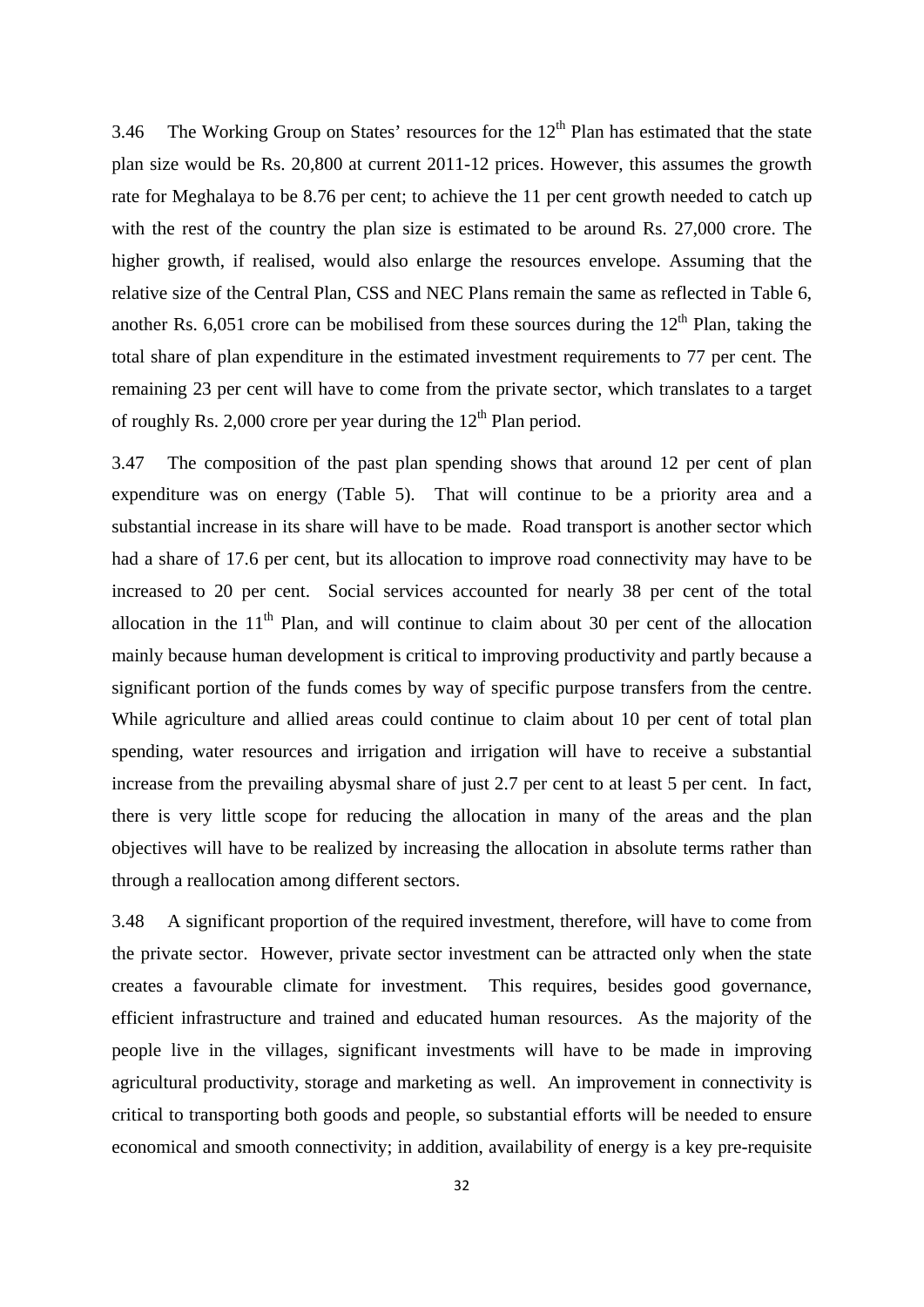3.46 The Working Group on States' resources for the  $12<sup>th</sup>$  Plan has estimated that the state plan size would be Rs. 20,800 at current 2011-12 prices. However, this assumes the growth rate for Meghalaya to be 8.76 per cent; to achieve the 11 per cent growth needed to catch up with the rest of the country the plan size is estimated to be around Rs. 27,000 crore. The higher growth, if realised, would also enlarge the resources envelope. Assuming that the relative size of the Central Plan, CSS and NEC Plans remain the same as reflected in Table 6, another Rs. 6,051 crore can be mobilised from these sources during the  $12<sup>th</sup>$  Plan, taking the total share of plan expenditure in the estimated investment requirements to 77 per cent. The remaining 23 per cent will have to come from the private sector, which translates to a target of roughly Rs. 2,000 crore per year during the  $12<sup>th</sup>$  Plan period.

3.47 The composition of the past plan spending shows that around 12 per cent of plan expenditure was on energy (Table 5). That will continue to be a priority area and a substantial increase in its share will have to be made. Road transport is another sector which had a share of 17.6 per cent, but its allocation to improve road connectivity may have to be increased to 20 per cent. Social services accounted for nearly 38 per cent of the total allocation in the  $11<sup>th</sup>$  Plan, and will continue to claim about 30 per cent of the allocation mainly because human development is critical to improving productivity and partly because a significant portion of the funds comes by way of specific purpose transfers from the centre. While agriculture and allied areas could continue to claim about 10 per cent of total plan spending, water resources and irrigation and irrigation will have to receive a substantial increase from the prevailing abysmal share of just 2.7 per cent to at least 5 per cent. In fact, there is very little scope for reducing the allocation in many of the areas and the plan objectives will have to be realized by increasing the allocation in absolute terms rather than through a reallocation among different sectors.

3.48 A significant proportion of the required investment, therefore, will have to come from the private sector. However, private sector investment can be attracted only when the state creates a favourable climate for investment. This requires, besides good governance, efficient infrastructure and trained and educated human resources. As the majority of the people live in the villages, significant investments will have to be made in improving agricultural productivity, storage and marketing as well. An improvement in connectivity is critical to transporting both goods and people, so substantial efforts will be needed to ensure economical and smooth connectivity; in addition, availability of energy is a key pre-requisite